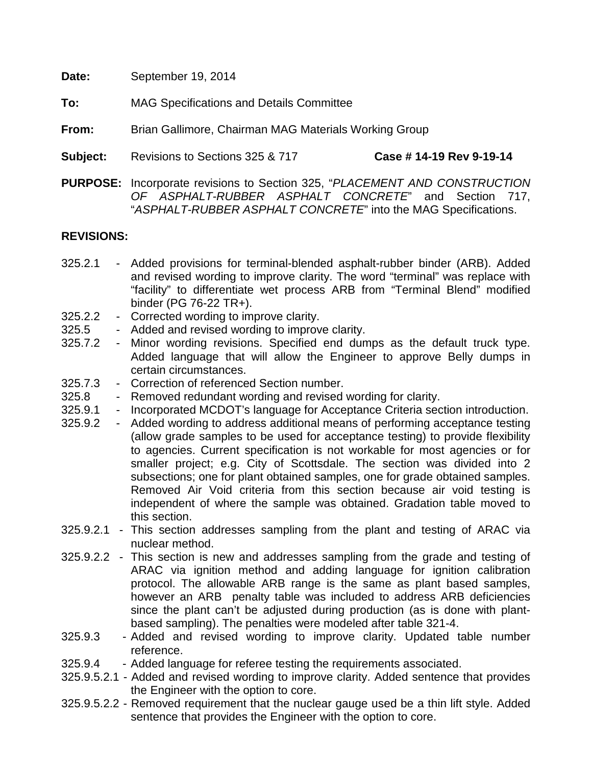| Date: | September 19, 2014 |
|-------|--------------------|
|-------|--------------------|

**To:** MAG Specifications and Details Committee

**From:** Brian Gallimore, Chairman MAG Materials Working Group

- **Subject:** Revisions to Sections 325 & 717 **Case # 14-19 Rev 9-19-14**
- **PURPOSE:** Incorporate revisions to Section 325, "*PLACEMENT AND CONSTRUCTION OF ASPHALT-RUBBER ASPHALT CONCRETE*" and Section 717, "*ASPHALT-RUBBER ASPHALT CONCRETE*" into the MAG Specifications.

# **REVISIONS:**

- 325.2.1 Added provisions for terminal-blended asphalt-rubber binder (ARB). Added and revised wording to improve clarity. The word "terminal" was replace with "facility" to differentiate wet process ARB from "Terminal Blend" modified binder (PG 76-22 TR+).
- 325.2.2 Corrected wording to improve clarity.
- 325.5 Added and revised wording to improve clarity.
- 325.7.2 Minor wording revisions. Specified end dumps as the default truck type. Added language that will allow the Engineer to approve Belly dumps in certain circumstances.
- 325.7.3 Correction of referenced Section number.
- 325.8 Removed redundant wording and revised wording for clarity.
- 325.9.1 Incorporated MCDOT's language for Acceptance Criteria section introduction.<br>325.9.2 Added wording to address additional means of performing acceptance testing
- <sup>2</sup> Added wording to address additional means of performing acceptance testing (allow grade samples to be used for acceptance testing) to provide flexibility to agencies. Current specification is not workable for most agencies or for smaller project; e.g. City of Scottsdale. The section was divided into 2 subsections; one for plant obtained samples, one for grade obtained samples. Removed Air Void criteria from this section because air void testing is independent of where the sample was obtained. Gradation table moved to this section.
- 325.9.2.1 This section addresses sampling from the plant and testing of ARAC via nuclear method.
- 325.9.2.2 This section is new and addresses sampling from the grade and testing of ARAC via ignition method and adding language for ignition calibration protocol. The allowable ARB range is the same as plant based samples, however an ARB penalty table was included to address ARB deficiencies since the plant can't be adjusted during production (as is done with plantbased sampling). The penalties were modeled after table 321-4.
- 325.9.3 Added and revised wording to improve clarity. Updated table number reference.
- 325.9.4 Added language for referee testing the requirements associated.
- 325.9.5.2.1 Added and revised wording to improve clarity. Added sentence that provides the Engineer with the option to core.
- 325.9.5.2.2 Removed requirement that the nuclear gauge used be a thin lift style. Added sentence that provides the Engineer with the option to core.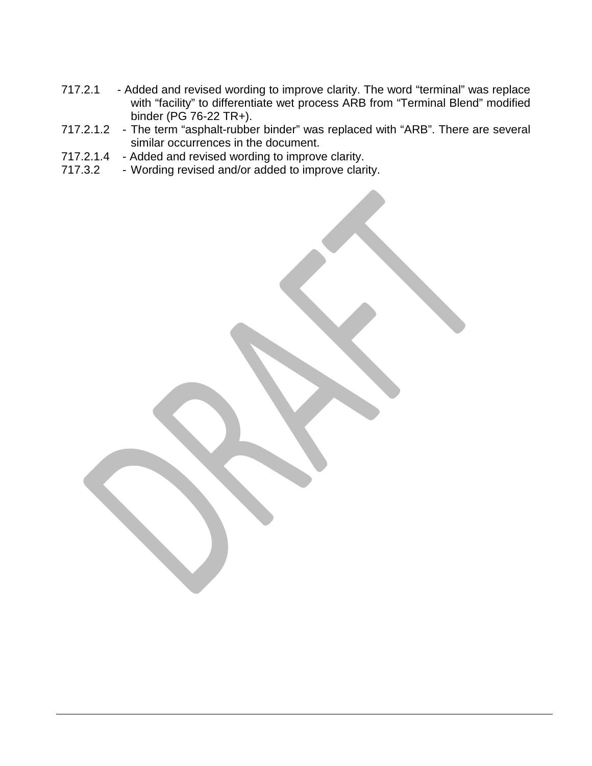- 717.2.1 Added and revised wording to improve clarity. The word "terminal" was replace with "facility" to differentiate wet process ARB from "Terminal Blend" modified binder (PG 76-22 TR+).
- 717.2.1.2 The term "asphalt-rubber binder" was replaced with "ARB". There are several similar occurrences in the document.
- 717.2.1.4 Added and revised wording to improve clarity.
- 717.3.2 Wording revised and/or added to improve clarity.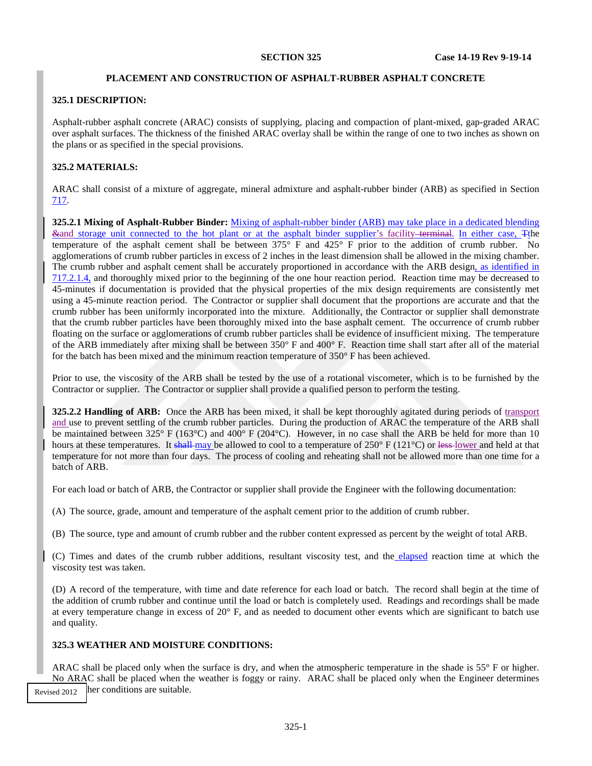#### **PLACEMENT AND CONSTRUCTION OF ASPHALT-RUBBER ASPHALT CONCRETE**

### **325.1 DESCRIPTION:**

Asphalt-rubber asphalt concrete (ARAC) consists of supplying, placing and compaction of plant-mixed, gap-graded ARAC over asphalt surfaces. The thickness of the finished ARAC overlay shall be within the range of one to two inches as shown on the plans or as specified in the special provisions.

### **325.2 MATERIALS:**

ARAC shall consist of a mixture of aggregate, mineral admixture and asphalt-rubber binder (ARB) as specified in Section 717.

**325.2.1 Mixing of Asphalt-Rubber Binder:** Mixing of asphalt-rubber binder (ARB) may take place in a dedicated blending &and storage unit connected to the hot plant or at the asphalt binder supplier's facility terminal. In either case, Tthe temperature of the asphalt cement shall be between 375° F and 425° F prior to the addition of crumb rubber. No agglomerations of crumb rubber particles in excess of 2 inches in the least dimension shall be allowed in the mixing chamber. The crumb rubber and asphalt cement shall be accurately proportioned in accordance with the ARB design, as identified in 717.2.1.4, and thoroughly mixed prior to the beginning of the one hour reaction period. Reaction time may be decreased to 45-minutes if documentation is provided that the physical properties of the mix design requirements are consistently met using a 45-minute reaction period. The Contractor or supplier shall document that the proportions are accurate and that the crumb rubber has been uniformly incorporated into the mixture. Additionally, the Contractor or supplier shall demonstrate that the crumb rubber particles have been thoroughly mixed into the base asphalt cement. The occurrence of crumb rubber floating on the surface or agglomerations of crumb rubber particles shall be evidence of insufficient mixing. The temperature of the ARB immediately after mixing shall be between 350° F and 400° F. Reaction time shall start after all of the material for the batch has been mixed and the minimum reaction temperature of 350° F has been achieved.

Prior to use, the viscosity of the ARB shall be tested by the use of a rotational viscometer, which is to be furnished by the Contractor or supplier. The Contractor or supplier shall provide a qualified person to perform the testing.

**325.2.2 Handling of ARB:** Once the ARB has been mixed, it shall be kept thoroughly agitated during periods of transport and use to prevent settling of the crumb rubber particles. During the production of ARAC the temperature of the ARB shall be maintained between 325° F (163°C) and 400° F (204°C). However, in no case shall the ARB be held for more than 10 hours at these temperatures. It shall may be allowed to cool to a temperature of  $250^{\circ}$  F ( $121^{\circ}$ C) or less-lower and held at that temperature for not more than four days. The process of cooling and reheating shall not be allowed more than one time for a batch of ARB.

For each load or batch of ARB, the Contractor or supplier shall provide the Engineer with the following documentation:

(A) The source, grade, amount and temperature of the asphalt cement prior to the addition of crumb rubber.

(B) The source, type and amount of crumb rubber and the rubber content expressed as percent by the weight of total ARB.

(C) Times and dates of the crumb rubber additions, resultant viscosity test, and the elapsed reaction time at which the viscosity test was taken.

(D) A record of the temperature, with time and date reference for each load or batch. The record shall begin at the time of the addition of crumb rubber and continue until the load or batch is completely used. Readings and recordings shall be made at every temperature change in excess of 20° F, and as needed to document other events which are significant to batch use and quality.

### **325.3 WEATHER AND MOISTURE CONDITIONS:**

ARAC shall be placed only when the surface is dry, and when the atmospheric temperature in the shade is 55° F or higher. No ARAC shall be placed when the weather is foggy or rainy. ARAC shall be placed only when the Engineer determines Revised 2012  $\parallel$  her conditions are suitable.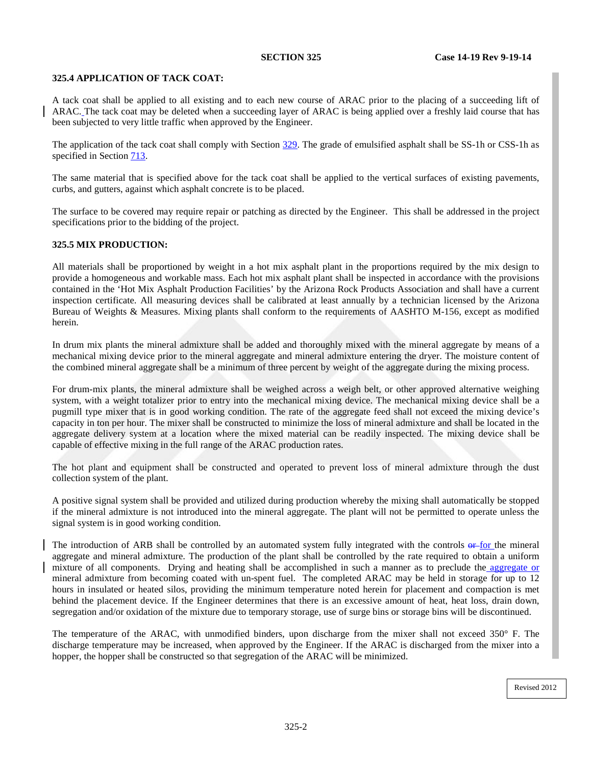### **325.4 APPLICATION OF TACK COAT:**

A tack coat shall be applied to all existing and to each new course of ARAC prior to the placing of a succeeding lift of ARAC. The tack coat may be deleted when a succeeding layer of ARAC is being applied over a freshly laid course that has been subjected to very little traffic when approved by the Engineer.

The application of the tack coat shall comply with Section 329. The grade of emulsified asphalt shall be SS-1h or CSS-1h as specified in Section 713.

The same material that is specified above for the tack coat shall be applied to the vertical surfaces of existing pavements, curbs, and gutters, against which asphalt concrete is to be placed.

The surface to be covered may require repair or patching as directed by the Engineer. This shall be addressed in the project specifications prior to the bidding of the project.

## <span id="page-3-0"></span>**325.5 MIX PRODUCTION:**

All materials shall be proportioned by weight in a hot mix asphalt plant in the proportions required by the mix design to provide a homogeneous and workable mass. Each hot mix asphalt plant shall be inspected in accordance with the provisions contained in the 'Hot Mix Asphalt Production Facilities' by the Arizona Rock Products Association and shall have a current inspection certificate. All measuring devices shall be calibrated at least annually by a technician licensed by the Arizona Bureau of Weights & Measures. Mixing plants shall conform to the requirements of AASHTO M-156, except as modified herein.

In drum mix plants the mineral admixture shall be added and thoroughly mixed with the mineral aggregate by means of a mechanical mixing device prior to the mineral aggregate and mineral admixture entering the dryer. The moisture content of the combined mineral aggregate shall be a minimum of three percent by weight of the aggregate during the mixing process.

For drum-mix plants, the mineral admixture shall be weighed across a weigh belt, or other approved alternative weighing system, with a weight totalizer prior to entry into the mechanical mixing device. The mechanical mixing device shall be a pugmill type mixer that is in good working condition. The rate of the aggregate feed shall not exceed the mixing device's capacity in ton per hour. The mixer shall be constructed to minimize the loss of mineral admixture and shall be located in the aggregate delivery system at a location where the mixed material can be readily inspected. The mixing device shall be capable of effective mixing in the full range of the ARAC production rates.

The hot plant and equipment shall be constructed and operated to prevent loss of mineral admixture through the dust collection system of the plant.

A positive signal system shall be provided and utilized during production whereby the mixing shall automatically be stopped if the mineral admixture is not introduced into the mineral aggregate. The plant will not be permitted to operate unless the signal system is in good working condition.

The introduction of ARB shall be controlled by an automated system fully integrated with the controls or for the mineral aggregate and mineral admixture. The production of the plant shall be controlled by the rate required to obtain a uniform mixture of all components. Drying and heating shall be accomplished in such a manner as to preclude the aggregate or mineral admixture from becoming coated with un-spent fuel. The completed ARAC may be held in storage for up to 12 hours in insulated or heated silos, providing the minimum temperature noted herein for placement and compaction is met behind the placement device. If the Engineer determines that there is an excessive amount of heat, heat loss, drain down, segregation and/or oxidation of the mixture due to temporary storage, use of surge bins or storage bins will be discontinued.

The temperature of the ARAC, with unmodified binders, upon discharge from the mixer shall not exceed 350° F. The discharge temperature may be increased, when approved by the Engineer. If the ARAC is discharged from the mixer into a hopper, the hopper shall be constructed so that segregation of the ARAC will be minimized.

Revised 2012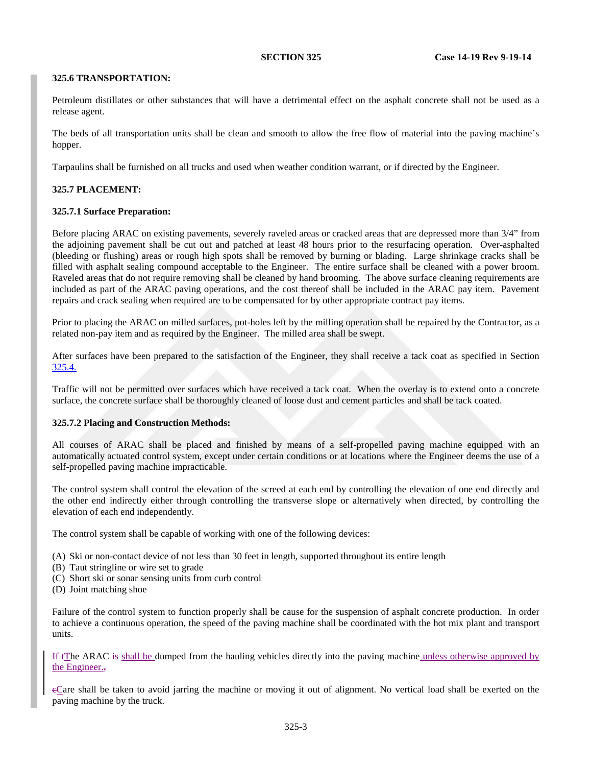#### <span id="page-4-0"></span>**325.6 TRANSPORTATION:**

Petroleum distillates or other substances that will have a detrimental effect on the asphalt concrete shall not be used as a release agent.

The beds of all transportation units shall be clean and smooth to allow the free flow of material into the paving machine's hopper.

Tarpaulins shall be furnished on all trucks and used when weather condition warrant, or if directed by the Engineer.

### **325.7 PLACEMENT:**

#### **325.7.1 Surface Preparation:**

Before placing ARAC on existing pavements, severely raveled areas or cracked areas that are depressed more than 3/4" from the adjoining pavement shall be cut out and patched at least 48 hours prior to the resurfacing operation. Over-asphalted (bleeding or flushing) areas or rough high spots shall be removed by burning or blading. Large shrinkage cracks shall be filled with asphalt sealing compound acceptable to the Engineer. The entire surface shall be cleaned with a power broom. Raveled areas that do not require removing shall be cleaned by hand brooming. The above surface cleaning requirements are included as part of the ARAC paving operations, and the cost thereof shall be included in the ARAC pay item. Pavement repairs and crack sealing when required are to be compensated for by other appropriate contract pay items.

Prior to placing the ARAC on milled surfaces, pot-holes left by the milling operation shall be repaired by the Contractor, as a related non-pay item and as required by the Engineer. The milled area shall be swept.

After surfaces have been prepared to the satisfaction of the Engineer, they shall receive a tack coat as specified in Section [325.4.](#page-6-0)

Traffic will not be permitted over surfaces which have received a tack coat. When the overlay is to extend onto a concrete surface, the concrete surface shall be thoroughly cleaned of loose dust and cement particles and shall be tack coated.

### **325.7.2 Placing and Construction Methods:**

All courses of ARAC shall be placed and finished by means of a self-propelled paving machine equipped with an automatically actuated control system, except under certain conditions or at locations where the Engineer deems the use of a self-propelled paving machine impracticable.

The control system shall control the elevation of the screed at each end by controlling the elevation of one end directly and the other end indirectly either through controlling the transverse slope or alternatively when directed, by controlling the elevation of each end independently.

The control system shall be capable of working with one of the following devices:

- (A) Ski or non-contact device of not less than 30 feet in length, supported throughout its entire length
- (B) Taut stringline or wire set to grade
- (C) Short ski or sonar sensing units from curb control
- (D) Joint matching shoe

Failure of the control system to function properly shall be cause for the suspension of asphalt concrete production. In order to achieve a continuous operation, the speed of the paving machine shall be coordinated with the hot mix plant and transport units.

If tThe ARAC is shall be dumped from the hauling vehicles directly into the paving machine unless otherwise approved by the Engineer.,

cCare shall be taken to avoid jarring the machine or moving it out of alignment. No vertical load shall be exerted on the paving machine by the truck.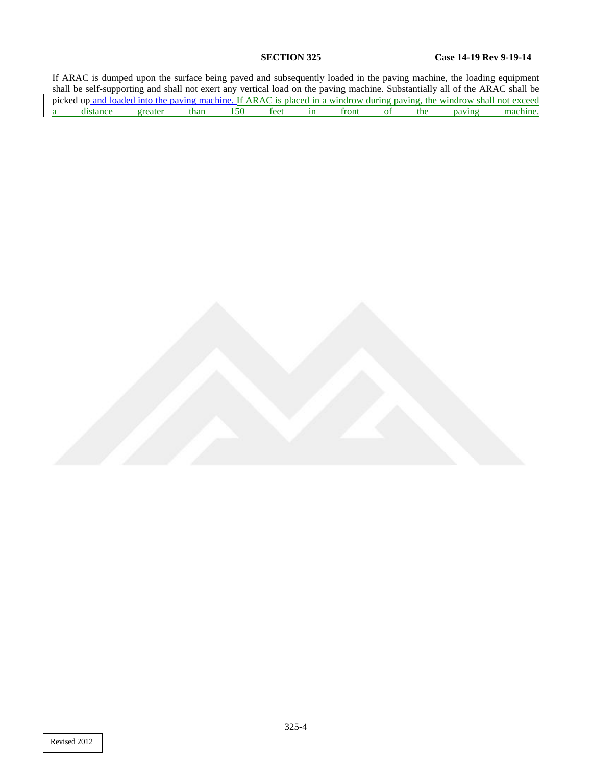If ARAC is dumped upon the surface being paved and subsequently loaded in the paving machine, the loading equipment shall be self-supporting and shall not exert any vertical load on the paving machine. Substantially all of the ARAC shall be picked up and loaded into the paving machine. If ARAC is placed in a windrow during paving, the windrow shall not exceed<br>a distance greater than 150 feet in front of the paving machine. a distance greater than 150 feet in front of the paving machine.

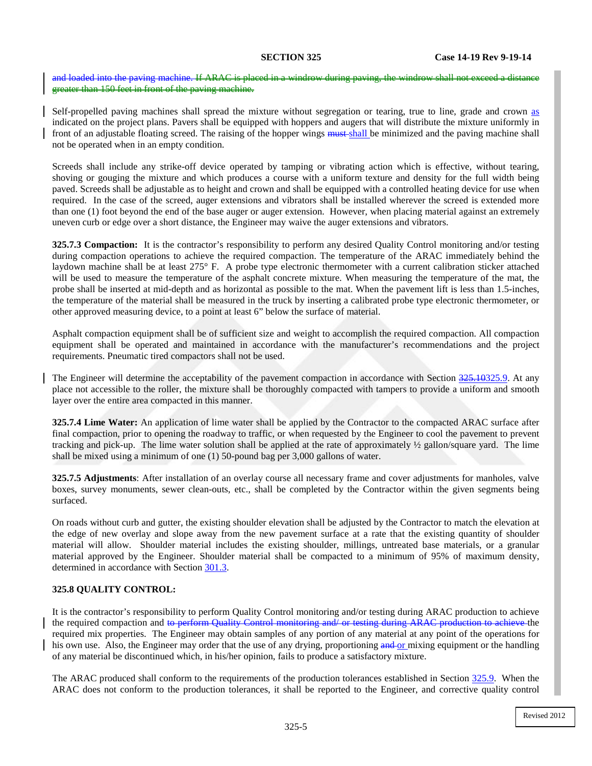and loaded into the paving machine. If ARAC is placed in a windrow during paving, the windrow shall not exceed a distance greater than 150 feet in front of the paving machine.

Self-propelled paving machines shall spread the mixture without segregation or tearing, true to line, grade and crown as indicated on the project plans. Pavers shall be equipped with hoppers and augers that will distribute the mixture uniformly in front of an adjustable floating screed. The raising of the hopper wings **must**-shall be minimized and the paving machine shall not be operated when in an empty condition.

Screeds shall include any strike-off device operated by tamping or vibrating action which is effective, without tearing, shoving or gouging the mixture and which produces a course with a uniform texture and density for the full width being paved. Screeds shall be adjustable as to height and crown and shall be equipped with a controlled heating device for use when required. In the case of the screed, auger extensions and vibrators shall be installed wherever the screed is extended more than one (1) foot beyond the end of the base auger or auger extension. However, when placing material against an extremely uneven curb or edge over a short distance, the Engineer may waive the auger extensions and vibrators.

**325.7.3 Compaction:** It is the contractor's responsibility to perform any desired Quality Control monitoring and/or testing during compaction operations to achieve the required compaction. The temperature of the ARAC immediately behind the laydown machine shall be at least 275° F. A probe type electronic thermometer with a current calibration sticker attached will be used to measure the temperature of the asphalt concrete mixture. When measuring the temperature of the mat, the probe shall be inserted at mid-depth and as horizontal as possible to the mat. When the pavement lift is less than 1.5-inches, the temperature of the material shall be measured in the truck by inserting a calibrated probe type electronic thermometer, or other approved measuring device, to a point at least 6" below the surface of material.

Asphalt compaction equipment shall be of sufficient size and weight to accomplish the required compaction. All compaction equipment shall be operated and maintained in accordance with the manufacturer's recommendations and the project requirements. Pneumatic tired compactors shall not be used.

The Engineer will determine the acceptability of the pavement compaction in accordance with Section 325.1[0325.9](#page-13-0). At any place not accessible to the roller, the mixture shall be thoroughly compacted with tampers to provide a uniform and smooth layer over the entire area compacted in this manner.

**325.7.4 Lime Water:** An application of lime water shall be applied by the Contractor to the compacted ARAC surface after final compaction, prior to opening the roadway to traffic, or when requested by the Engineer to cool the pavement to prevent tracking and pick-up. The lime water solution shall be applied at the rate of approximately ½ gallon/square yard. The lime shall be mixed using a minimum of one (1) 50-pound bag per 3,000 gallons of water.

**325.7.5 Adjustments**: After installation of an overlay course all necessary frame and cover adjustments for manholes, valve boxes, survey monuments, sewer clean-outs, etc., shall be completed by the Contractor within the given segments being surfaced.

On roads without curb and gutter, the existing shoulder elevation shall be adjusted by the Contractor to match the elevation at the edge of new overlay and slope away from the new pavement surface at a rate that the existing quantity of shoulder material will allow. Shoulder material includes the existing shoulder, millings, untreated base materials, or a granular material approved by the Engineer. Shoulder material shall be compacted to a minimum of 95% of maximum density, determined in accordance with Section 301.3.

#### <span id="page-6-0"></span>**325.8 QUALITY CONTROL:**

It is the contractor's responsibility to perform Quality Control monitoring and/or testing during ARAC production to achieve the required compaction and to perform Quality Control monitoring and/ or testing during ARAC production to achieve the required mix properties. The Engineer may obtain samples of any portion of any material at any point of the operations for his own use. Also, the Engineer may order that the use of any drying, proportioning and or mixing equipment or the handling of any material be discontinued which, in his/her opinion, fails to produce a satisfactory mixture.

The ARAC produced shall conform to the requirements of the production tolerances established in Section [325.9.](#page-7-0) When the ARAC does not conform to the production tolerances, it shall be reported to the Engineer, and corrective quality control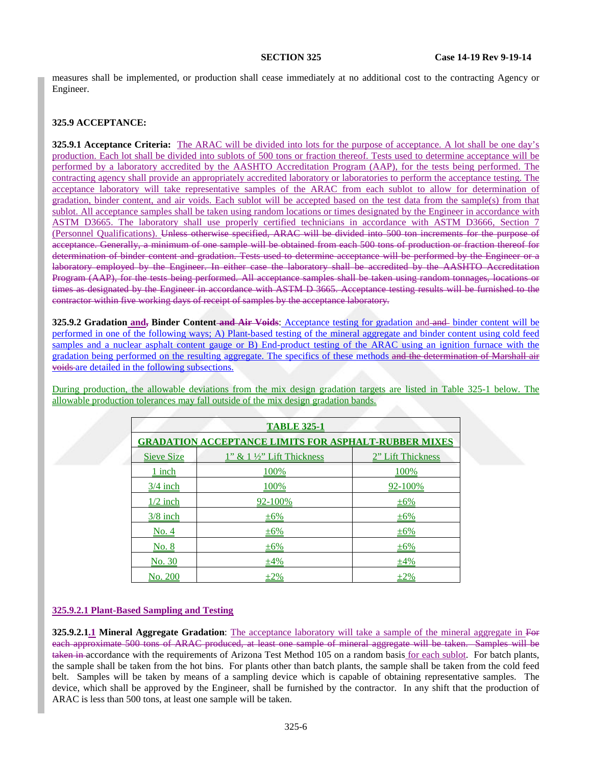measures shall be implemented, or production shall cease immediately at no additional cost to the contracting Agency or Engineer.

## <span id="page-7-0"></span>**325.9 ACCEPTANCE:**

**325.9.1 Acceptance Criteria:** The ARAC will be divided into lots for the purpose of acceptance. A lot shall be one day's production. Each lot shall be divided into sublots of 500 tons or fraction thereof. Tests used to determine acceptance will be performed by a laboratory accredited by the AASHTO Accreditation Program (AAP), for the tests being performed. The contracting agency shall provide an appropriately accredited laboratory or laboratories to perform the acceptance testing. The acceptance laboratory will take representative samples of the ARAC from each sublot to allow for determination of gradation, binder content, and air voids. Each sublot will be accepted based on the test data from the sample(s) from that sublot. All acceptance samples shall be taken using random locations or times designated by the Engineer in accordance with ASTM D3665. The laboratory shall use properly certified technicians in accordance with ASTM D3666, Section 7 (Personnel Qualifications). Unless otherwise specified, ARAC will be divided into 500 ton increments for the purpose of acceptance. Generally, a minimum of one sample will be obtained from each 500 tons of production or fraction thereof for determination of binder content and gradation. Tests used to determine acceptance will be performed by the Engineer or a laboratory employed by the Engineer. In either case the laboratory shall be accredited by the AASHTO Accreditation Program (AAP), for the tests being performed. All acceptance samples shall be taken using random tonnages, locations or times as designated by the Engineer in accordance with ASTM D 3665. Acceptance testing results will be furnished to the contractor within five working days of receipt of samples by the acceptance laboratory.

**325.9.2 Gradation and, Binder Content and Air Voids**: Acceptance testing for gradation and and binder content will be performed in one of the following ways; A) Plant-based testing of the mineral aggregate and binder content using cold feed samples and a nuclear asphalt content gauge or B) End-product testing of the ARAC using an ignition furnace with the gradation being performed on the resulting aggregate. The specifics of these methods and the determination of Marshall air voids are detailed in the following subsections.

During production, the allowable deviations from the mix design gradation targets are listed in Table [325-1](#page-8-0) below. The allowable production tolerances may fall outside of the mix design gradation bands.

| <b>TABLE 325-1</b>                                          |                                      |                   |
|-------------------------------------------------------------|--------------------------------------|-------------------|
| <b>GRADATION ACCEPTANCE LIMITS FOR ASPHALT-RUBBER MIXES</b> |                                      |                   |
| <b>Sieve Size</b>                                           | $1"$ & $1\frac{1}{2"$ Lift Thickness | 2" Lift Thickness |
| 1 inch                                                      | 100%                                 | 100%              |
| $\frac{3}{4}$ inch                                          | 100%                                 | 92-100%           |
| $1/2$ inch                                                  | 92-100%                              | ±6%               |
| $3/8$ inch                                                  | ±6%                                  | $\pm 6\%$         |
| No. 4                                                       | ±6%                                  | $\pm 6\%$         |
| <u>No. 8</u>                                                | $\pm 6\%$                            | $\pm 6\%$         |
| <u>No. 30</u>                                               | ±4%                                  | ±4%               |
| No. 200                                                     | $\pm 2\%$                            | $\pm 2\%$         |

#### **325.9.2.1 Plant-Based Sampling and Testing**

**325.9.2.1.1 Mineral Aggregate Gradation**: The acceptance laboratory will take a sample of the mineral aggregate in For each approximate 500 tons of ARAC produced, at least one sample of mineral aggregate will be taken. Samples will be taken in accordance with the requirements of Arizona Test Method 105 on a random basis for each sublot. For batch plants, the sample shall be taken from the hot bins. For plants other than batch plants, the sample shall be taken from the cold feed belt. Samples will be taken by means of a sampling device which is capable of obtaining representative samples. The device, which shall be approved by the Engineer, shall be furnished by the contractor. In any shift that the production of ARAC is less than 500 tons, at least one sample will be taken.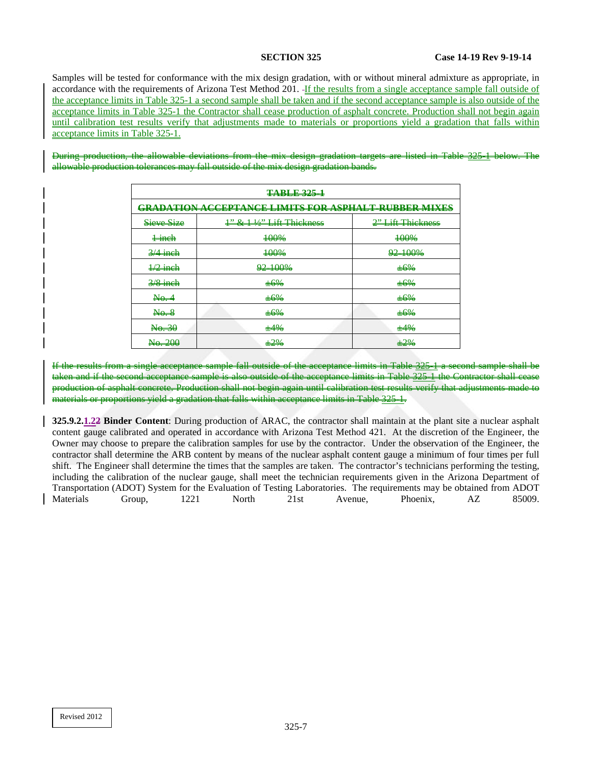Samples will be tested for conformance with the mix design gradation, with or without mineral admixture as appropriate, in accordance with the requirements of Arizona Test Method 201. -If the results from a single acceptance sample fall outside of the acceptance limits in Table [325-1](#page-8-0) a second sample shall be taken and if the second acceptance sample is also outside of the acceptance limits in Table [325-1](#page-8-0) the Contractor shall cease production of asphalt concrete. Production shall not begin again until calibration test results verify that adjustments made to materials or proportions yield a gradation that falls within acceptance limits in Table [325-1.](#page-8-0)

During production, the allowable deviations from the mix design gradation targets are listed allowable production tolerances may fall outside of the mix design gradation bands.

<span id="page-8-0"></span>

| <b>TABLE 325-1</b>                                          |                                                                                                                                                                                                                                                                                                                       |                   |
|-------------------------------------------------------------|-----------------------------------------------------------------------------------------------------------------------------------------------------------------------------------------------------------------------------------------------------------------------------------------------------------------------|-------------------|
| <b>GRADATION ACCEPTANCE LIMITS FOR ASPHALT RUBBER MIXES</b> |                                                                                                                                                                                                                                                                                                                       |                   |
| Sieve Size                                                  | $\frac{1}{2}$ & $\frac{1}{2}$ $\frac{1}{2}$ $\frac{1}{2}$ $\frac{1}{2}$ $\frac{1}{2}$ $\frac{1}{2}$ $\frac{1}{2}$ $\frac{1}{2}$ $\frac{1}{2}$ $\frac{1}{2}$ $\frac{1}{2}$ $\frac{1}{2}$ $\frac{1}{2}$ $\frac{1}{2}$ $\frac{1}{2}$ $\frac{1}{2}$ $\frac{1}{2}$ $\frac{1}{2}$ $\frac{1}{2}$ $\frac{1}{2}$ $\frac{1}{2}$ | 2" Lift Thiekness |
| $\frac{1}{2}$ inch                                          | +00%                                                                                                                                                                                                                                                                                                                  | +00%              |
| $3/4$ ineh                                                  | 400%                                                                                                                                                                                                                                                                                                                  | 92-100%           |
| $\frac{1}{2}$ inch                                          | <del>92-100%</del>                                                                                                                                                                                                                                                                                                    | $+6%$             |
| $\frac{2}{8}$ inch                                          | $+6%$                                                                                                                                                                                                                                                                                                                 | $+6%$             |
| Na.4                                                        | ±6%                                                                                                                                                                                                                                                                                                                   | ±6%               |
| N <sub>0</sub>                                              | ±6%                                                                                                                                                                                                                                                                                                                   | ±6%               |
| $\frac{1}{10}$                                              | $+4%$                                                                                                                                                                                                                                                                                                                 | $+4%$             |
| No. 200                                                     | $+2%$                                                                                                                                                                                                                                                                                                                 | $\pm 2\%$         |

If the results from a single acceptance sample fall outside of the acceptance limits in Table [325-1](#page-8-0) a second sample shall be taken and if the second acceptance sample is also outside of the acceptance limits in Table [325-1](#page-8-0) the Contractor of asphalt concrete. Production shall not begin again until calibration test results verify that adjustments<br>Enroportions vield a gradation that falls within accentance limits in Table 325–1 vield a gradation that falls within acceptance

**325.9.2.1.22 Binder Content**: During production of ARAC, the contractor shall maintain at the plant site a nuclear asphalt content gauge calibrated and operated in accordance with Arizona Test Method 421. At the discretion of the Engineer, the Owner may choose to prepare the calibration samples for use by the contractor. Under the observation of the Engineer, the contractor shall determine the ARB content by means of the nuclear asphalt content gauge a minimum of four times per full shift. The Engineer shall determine the times that the samples are taken. The contractor's technicians performing the testing, including the calibration of the nuclear gauge, shall meet the technician requirements given in the Arizona Department of Transportation (ADOT) System for the Evaluation of Testing Laboratories. The requirements may be obtained from ADOT Materials Group, 1221 North 21st Avenue, Phoenix, AZ 85009.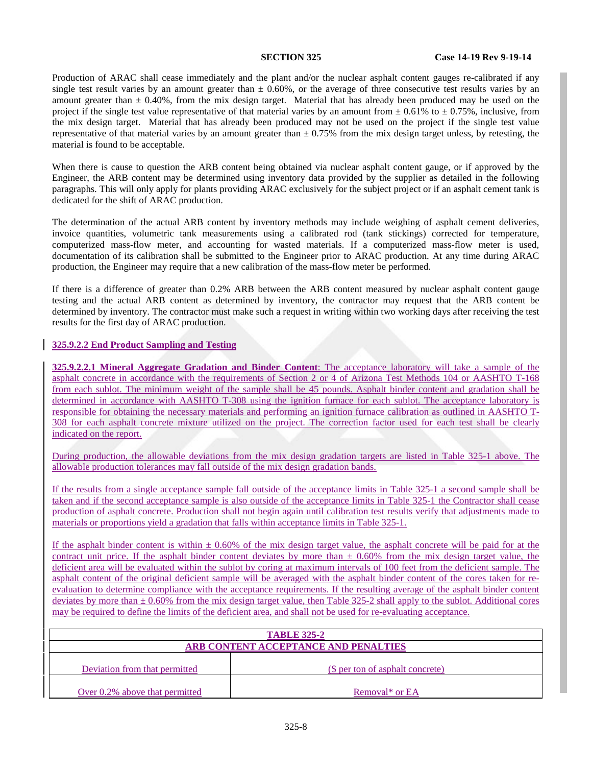Production of ARAC shall cease immediately and the plant and/or the nuclear asphalt content gauges re-calibrated if any single test result varies by an amount greater than  $\pm 0.60\%$ , or the average of three consecutive test results varies by an amount greater than  $\pm$  0.40%, from the mix design target. Material that has already been produced may be used on the project if the single test value representative of that material varies by an amount from  $\pm 0.61\%$  to  $\pm 0.75\%$ , inclusive, from the mix design target. Material that has already been produced may not be used on the project if the single test value representative of that material varies by an amount greater than  $\pm$  0.75% from the mix design target unless, by retesting, the material is found to be acceptable.

When there is cause to question the ARB content being obtained via nuclear asphalt content gauge, or if approved by the Engineer, the ARB content may be determined using inventory data provided by the supplier as detailed in the following paragraphs. This will only apply for plants providing ARAC exclusively for the subject project or if an asphalt cement tank is dedicated for the shift of ARAC production.

The determination of the actual ARB content by inventory methods may include weighing of asphalt cement deliveries, invoice quantities, volumetric tank measurements using a calibrated rod (tank stickings) corrected for temperature, computerized mass-flow meter, and accounting for wasted materials. If a computerized mass-flow meter is used, documentation of its calibration shall be submitted to the Engineer prior to ARAC production. At any time during ARAC production, the Engineer may require that a new calibration of the mass-flow meter be performed.

If there is a difference of greater than 0.2% ARB between the ARB content measured by nuclear asphalt content gauge testing and the actual ARB content as determined by inventory, the contractor may request that the ARB content be determined by inventory. The contractor must make such a request in writing within two working days after receiving the test results for the first day of ARAC production.

## **325.9.2.2 End Product Sampling and Testing**

**325.9.2.2.1 Mineral Aggregate Gradation and Binder Content**: The acceptance laboratory will take a sample of the asphalt concrete in accordance with the requirements of Section 2 or 4 of Arizona Test Methods 104 or AASHTO T-168 from each sublot. The minimum weight of the sample shall be 45 pounds. Asphalt binder content and gradation shall be determined in accordance with AASHTO T-308 using the ignition furnace for each sublot. The acceptance laboratory is responsible for obtaining the necessary materials and performing an ignition furnace calibration as outlined in AASHTO T-308 for each asphalt concrete mixture utilized on the project. The correction factor used for each test shall be clearly indicated on the report.

During production, the allowable deviations from the mix design gradation targets are listed in Table [325-1](#page-8-0) above. The allowable production tolerances may fall outside of the mix design gradation bands.

If the results from a single acceptance sample fall outside of the acceptance limits in Table [325-1](#page-8-0) a second sample shall be taken and if the second acceptance sample is also outside of the acceptance limits in Table [325-1](#page-8-0) the Contractor shall cease production of asphalt concrete. Production shall not begin again until calibration test results verify that adjustments made to materials or proportions yield a gradation that falls within acceptance limits in Tabl[e 325-1.](#page-8-0)

If the asphalt binder content is within  $\pm 0.60\%$  of the mix design target value, the asphalt concrete will be paid for at the contract unit price. If the asphalt binder content deviates by more than  $\pm$  0.60% from the mix design target value, the deficient area will be evaluated within the sublot by coring at maximum intervals of 100 feet from the deficient sample. The asphalt content of the original deficient sample will be averaged with the asphalt binder content of the cores taken for reevaluation to determine compliance with the acceptance requirements. If the resulting average of the asphalt binder content deviates by more than  $\pm 0.60\%$  from the mix design target value, then Table 325-2 shall apply to the sublot. Additional cores may be required to define the limits of the deficient area, and shall not be used for re-evaluating acceptance.

| <b>TABLE 325-2</b>                                                |  |  |
|-------------------------------------------------------------------|--|--|
| ARB CONTENT ACCEPTANCE AND PENALTIES                              |  |  |
| Deviation from that permitted<br>(\$ per ton of asphalt concrete) |  |  |
| Over 0.2% above that permitted<br>Removal* or EA                  |  |  |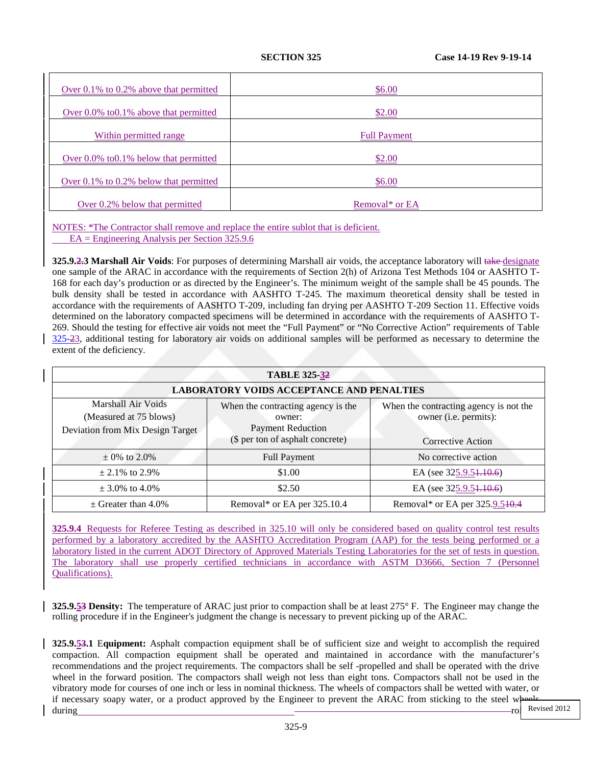| Over $0.1\%$ to $0.2\%$ above that permitted | \$6.00                     |
|----------------------------------------------|----------------------------|
| Over $0.0\%$ to $0.1\%$ above that permitted | \$2.00                     |
| Within permitted range                       | <b>Full Payment</b>        |
| Over $0.0\%$ to $0.1\%$ below that permitted | \$2.00                     |
| Over $0.1\%$ to $0.2\%$ below that permitted | \$6.00                     |
| Over 0.2% below that permitted               | Removal <sup>*</sup> or EA |

NOTES: \*The Contractor shall remove and replace the entire sublot that is deficient. EA = Engineering Analysis per Section 325.9.6

**325.9.2.3 Marshall Air Voids**: For purposes of determining Marshall air voids, the acceptance laboratory will take-designate one sample of the ARAC in accordance with the requirements of Section 2(h) of Arizona Test Methods 104 or AASHTO T-168 for each day's production or as directed by the Engineer's. The minimum weight of the sample shall be 45 pounds. The bulk density shall be tested in accordance with AASHTO T-245. The maximum theoretical density shall be tested in accordance with the requirements of AASHTO T-209, including fan drying per AASHTO T-209 Section 11. Effective voids determined on the laboratory compacted specimens will be determined in accordance with the requirements of AASHTO T-269. Should the testing for effective air voids not meet the "Full Payment" or "No Corrective Action" requirements of Table [325-23](#page-3-0), additional testing for laboratory air voids on additional samples will be performed as necessary to determine the extent of the deficiency.

| <b>TABLE 325-32</b>                                                              |                                                                                                              |                                                                                      |
|----------------------------------------------------------------------------------|--------------------------------------------------------------------------------------------------------------|--------------------------------------------------------------------------------------|
| <b>LABORATORY VOIDS ACCEPTANCE AND PENALTIES</b>                                 |                                                                                                              |                                                                                      |
| Marshall Air Voids<br>(Measured at 75 blows)<br>Deviation from Mix Design Target | When the contracting agency is the<br>owner:<br><b>Payment Reduction</b><br>(\$ per ton of asphalt concrete) | When the contracting agency is not the<br>owner (i.e. permits):<br>Corrective Action |
| $\pm$ 0% to 2.0%                                                                 | <b>Full Payment</b>                                                                                          | No corrective action                                                                 |
| $\pm 2.1\%$ to 2.9%                                                              | \$1.00                                                                                                       | EA (see 325.9.51.10.6)                                                               |
| $\pm$ 3.0% to 4.0%                                                               | \$2.50                                                                                                       | EA (see 325.9.5 <del>1.10.6</del> )                                                  |
| $\pm$ Greater than 4.0%                                                          | Removal* or EA per 325.10.4                                                                                  | Removal* or EA per 325.9.540.4                                                       |

**325.9.4** Requests for Referee Testing as described in 325.10 will only be considered based on quality control test results performed by a laboratory accredited by the AASHTO Accreditation Program (AAP) for the tests being performed or a laboratory listed in the current ADOT Directory of Approved Materials Testing Laboratories for the set of tests in question. The laboratory shall use properly certified technicians in accordance with ASTM D3666, Section 7 (Personnel Qualifications).

**325.9.53 Density:** The temperature of ARAC just prior to compaction shall be at least 275° F. The Engineer may change the rolling procedure if in the Engineer's judgment the change is necessary to prevent picking up of the ARAC.

**325.9.53.1** E**quipment:** Asphalt compaction equipment shall be of sufficient size and weight to accomplish the required compaction. All compaction equipment shall be operated and maintained in accordance with the manufacturer's recommendations and the project requirements. The compactors shall be self -propelled and shall be operated with the drive wheel in the forward position. The compactors shall weigh not less than eight tons. Compactors shall not be used in the vibratory mode for courses of one inch or less in nominal thickness. The wheels of compactors shall be wetted with water, or if necessary soapy water, or a product approved by the Engineer to prevent the ARAC from sticking to the steel wheels during roll Revised 2012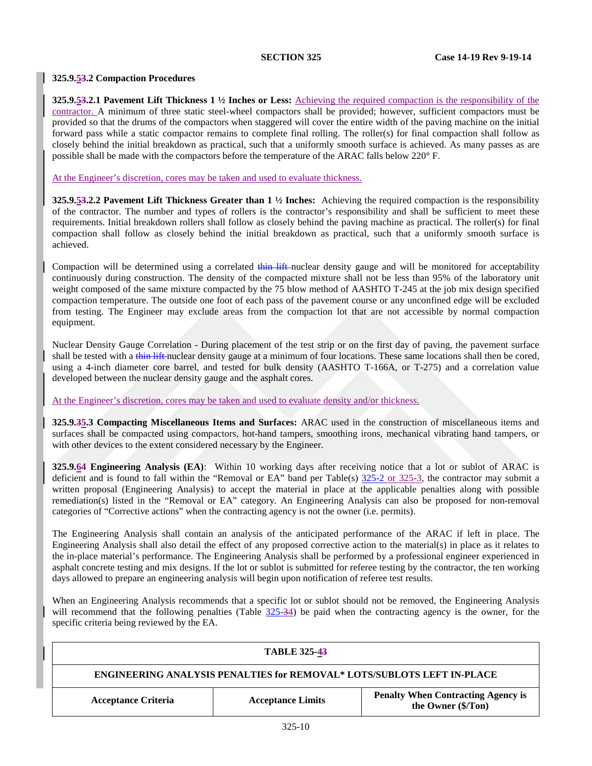## <span id="page-11-0"></span>**325.9.53.2 Compaction Procedures**

**325.9.53.2.1 Pavement Lift Thickness 1 ½ Inches or Less:** Achieving the required compaction is the responsibility of the contractor. A minimum of three static steel-wheel compactors shall be provided; however, sufficient compactors must be provided so that the drums of the compactors when staggered will cover the entire width of the paving machine on the initial forward pass while a static compactor remains to complete final rolling. The roller(s) for final compaction shall follow as closely behind the initial breakdown as practical, such that a uniformly smooth surface is achieved. As many passes as are possible shall be made with the compactors before the temperature of the ARAC falls below 220° F.

## At the Engineer's discretion, cores may be taken and used to evaluate thickness.

**325.9.53.2.2 Pavement Lift Thickness Greater than 1 ½ Inches:** Achieving the required compaction is the responsibility of the contractor. The number and types of rollers is the contractor's responsibility and shall be sufficient to meet these requirements. Initial breakdown rollers shall follow as closely behind the paving machine as practical. The roller(s) for final compaction shall follow as closely behind the initial breakdown as practical, such that a uniformly smooth surface is achieved.

Compaction will be determined using a correlated thin lift nuclear density gauge and will be monitored for acceptability continuously during construction. The density of the compacted mixture shall not be less than 95% of the laboratory unit weight composed of the same mixture compacted by the 75 blow method of AASHTO T-245 at the job mix design specified compaction temperature. The outside one foot of each pass of the pavement course or any unconfined edge will be excluded from testing. The Engineer may exclude areas from the compaction lot that are not accessible by normal compaction equipment.

Nuclear Density Gauge Correlation - During placement of the test strip or on the first day of paving, the pavement surface shall be tested with a thin lift nuclear density gauge at a minimum of four locations. These same locations shall then be cored, using a 4-inch diameter core barrel, and tested for bulk density (AASHTO T-166A, or T-275) and a correlation value developed between the nuclear density gauge and the asphalt cores.

At the Engineer's discretion, cores may be taken and used to evaluate density and/or thickness.

**325.9.35.3 Compacting Miscellaneous Items and Surfaces:** ARAC used in the construction of miscellaneous items and surfaces shall be compacted using compactors, hot-hand tampers, smoothing irons, mechanical vibrating hand tampers, or with other devices to the extent considered necessary by the Engineer.

**325.9.64 Engineering Analysis (EA)**: Within 10 working days after receiving notice that a lot or sublot of ARAC is deficient and is found to fall within the "Removal or EA" band per Table(s)  $\frac{325-2}{2}$  or 325-3, the contractor may submit a written proposal (Engineering Analysis) to accept the material in place at the applicable penalties along with possible remediation(s) listed in the "Removal or EA" category. An Engineering Analysis can also be proposed for non-removal categories of "Corrective actions" when the contracting agency is not the owner (i.e. permits).

The Engineering Analysis shall contain an analysis of the anticipated performance of the ARAC if left in place. The Engineering Analysis shall also detail the effect of any proposed corrective action to the material(s) in place as it relates to the in-place material's performance. The Engineering Analysis shall be performed by a professional engineer experienced in asphalt concrete testing and mix designs. If the lot or sublot is submitted for referee testing by the contractor, the ten working days allowed to prepare an engineering analysis will begin upon notification of referee test results.

When an Engineering Analysis recommends that a specific lot or sublot should not be removed, the Engineering Analysis will recommend that the following penalties (Table  $325-34$ ) be paid when the contracting agency is the owner, for the specific criteria being reviewed by the EA.

| <b>TABLE 325-43</b>                                                                                                       |  |  |  |
|---------------------------------------------------------------------------------------------------------------------------|--|--|--|
| ENGINEERING ANALYSIS PENALTIES for REMOVAL* LOTS/SUBLOTS LEFT IN-PLACE                                                    |  |  |  |
| <b>Penalty When Contracting Agency is</b><br><b>Acceptance Limits</b><br><b>Acceptance Criteria</b><br>the Owner (\$/Ton) |  |  |  |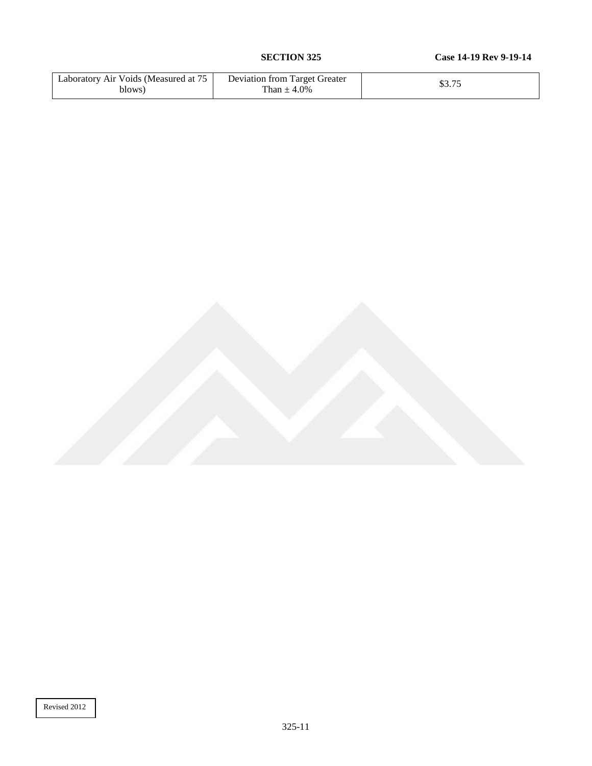| Laboratory Air Voids (Measured at 7<br>blows) | Deviation from Target Greater<br>4.0%<br>han $\pm$ | ሐሳ ማድ<br>ل ، رو |
|-----------------------------------------------|----------------------------------------------------|-----------------|
|-----------------------------------------------|----------------------------------------------------|-----------------|

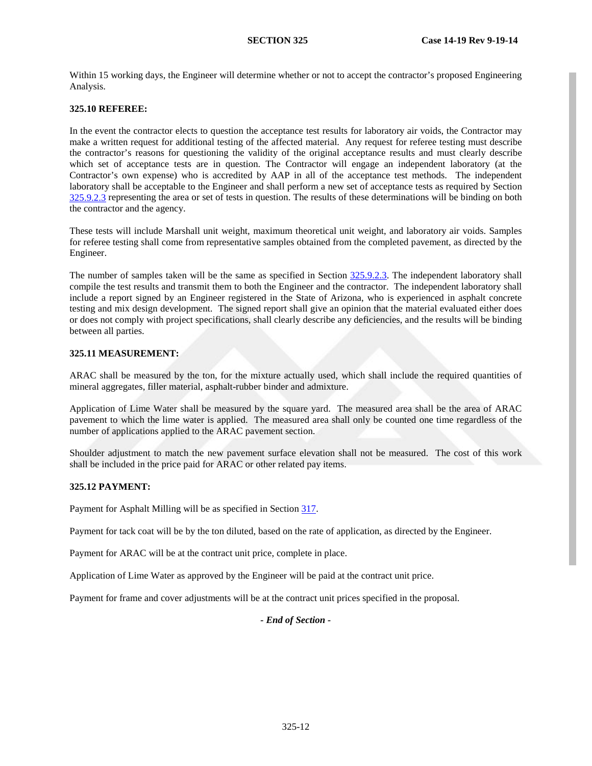Within 15 working days, the Engineer will determine whether or not to accept the contractor's proposed Engineering Analysis.

## <span id="page-13-0"></span>**325.10 REFEREE:**

In the event the contractor elects to question the acceptance test results for laboratory air voids, the Contractor may make a written request for additional testing of the affected material. Any request for referee testing must describe the contractor's reasons for questioning the validity of the original acceptance results and must clearly describe which set of acceptance tests are in question. The Contractor will engage an independent laboratory (at the Contractor's own expense) who is accredited by AAP in all of the acceptance test methods. The independent laboratory shall be acceptable to the Engineer and shall perform a new set of acceptance tests as required by Section [325.9.2.3](#page-11-0) representing the area or set of tests in question. The results of these determinations will be binding on both the contractor and the agency.

These tests will include Marshall unit weight, maximum theoretical unit weight, and laboratory air voids. Samples for referee testing shall come from representative samples obtained from the completed pavement, as directed by the Engineer.

The number of samples taken will be the same as specified in Section [325.9.2.3.](#page-11-0) The independent laboratory shall compile the test results and transmit them to both the Engineer and the contractor. The independent laboratory shall include a report signed by an Engineer registered in the State of Arizona, who is experienced in asphalt concrete testing and mix design development. The signed report shall give an opinion that the material evaluated either does or does not comply with project specifications, shall clearly describe any deficiencies, and the results will be binding between all parties.

### **325.11 MEASUREMENT:**

ARAC shall be measured by the ton, for the mixture actually used, which shall include the required quantities of mineral aggregates, filler material, asphalt-rubber binder and admixture.

Application of Lime Water shall be measured by the square yard. The measured area shall be the area of ARAC pavement to which the lime water is applied. The measured area shall only be counted one time regardless of the number of applications applied to the ARAC pavement section.

Shoulder adjustment to match the new pavement surface elevation shall not be measured. The cost of this work shall be included in the price paid for ARAC or other related pay items.

## **325.12 PAYMENT:**

Payment for Asphalt Milling will be as specified in Section 317.

Payment for tack coat will be by the ton diluted, based on the rate of application, as directed by the Engineer.

Payment for ARAC will be at the contract unit price, complete in place.

Application of Lime Water as approved by the Engineer will be paid at the contract unit price.

Payment for frame and cover adjustments will be at the contract unit prices specified in the proposal.

## *- End of Section -*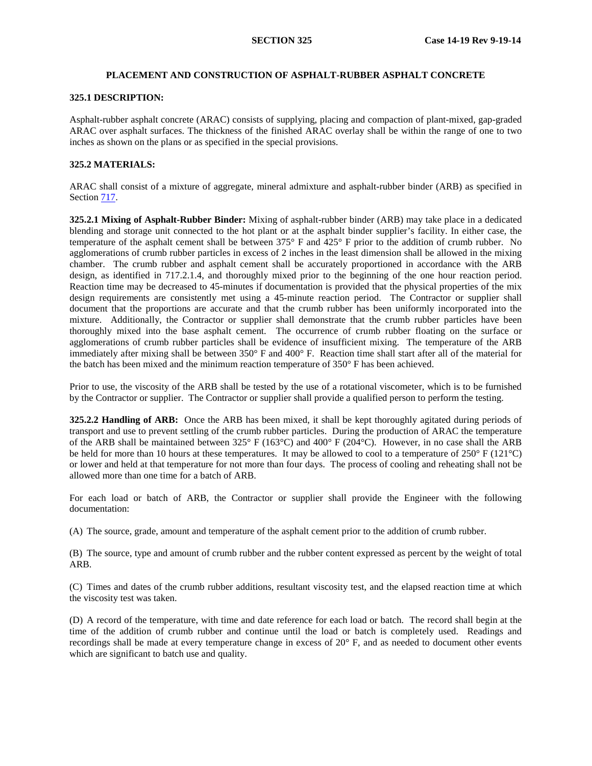## **PLACEMENT AND CONSTRUCTION OF ASPHALT-RUBBER ASPHALT CONCRETE**

#### **325.1 DESCRIPTION:**

Asphalt-rubber asphalt concrete (ARAC) consists of supplying, placing and compaction of plant-mixed, gap-graded ARAC over asphalt surfaces. The thickness of the finished ARAC overlay shall be within the range of one to two inches as shown on the plans or as specified in the special provisions.

#### **325.2 MATERIALS:**

ARAC shall consist of a mixture of aggregate, mineral admixture and asphalt-rubber binder (ARB) as specified in Section 717.

**325.2.1 Mixing of Asphalt-Rubber Binder:** Mixing of asphalt-rubber binder (ARB) may take place in a dedicated blending and storage unit connected to the hot plant or at the asphalt binder supplier's facility. In either case, the temperature of the asphalt cement shall be between 375° F and 425° F prior to the addition of crumb rubber. No agglomerations of crumb rubber particles in excess of 2 inches in the least dimension shall be allowed in the mixing chamber. The crumb rubber and asphalt cement shall be accurately proportioned in accordance with the ARB design, as identified in 717.2.1.4, and thoroughly mixed prior to the beginning of the one hour reaction period. Reaction time may be decreased to 45-minutes if documentation is provided that the physical properties of the mix design requirements are consistently met using a 45-minute reaction period. The Contractor or supplier shall document that the proportions are accurate and that the crumb rubber has been uniformly incorporated into the mixture. Additionally, the Contractor or supplier shall demonstrate that the crumb rubber particles have been thoroughly mixed into the base asphalt cement. The occurrence of crumb rubber floating on the surface or agglomerations of crumb rubber particles shall be evidence of insufficient mixing. The temperature of the ARB immediately after mixing shall be between 350° F and 400° F. Reaction time shall start after all of the material for the batch has been mixed and the minimum reaction temperature of 350° F has been achieved.

Prior to use, the viscosity of the ARB shall be tested by the use of a rotational viscometer, which is to be furnished by the Contractor or supplier. The Contractor or supplier shall provide a qualified person to perform the testing.

**325.2.2 Handling of ARB:** Once the ARB has been mixed, it shall be kept thoroughly agitated during periods of transport and use to prevent settling of the crumb rubber particles. During the production of ARAC the temperature of the ARB shall be maintained between 325° F (163°C) and 400° F (204°C). However, in no case shall the ARB be held for more than 10 hours at these temperatures. It may be allowed to cool to a temperature of 250° F (121°C) or lower and held at that temperature for not more than four days. The process of cooling and reheating shall not be allowed more than one time for a batch of ARB.

For each load or batch of ARB, the Contractor or supplier shall provide the Engineer with the following documentation:

(A) The source, grade, amount and temperature of the asphalt cement prior to the addition of crumb rubber.

(B) The source, type and amount of crumb rubber and the rubber content expressed as percent by the weight of total ARB.

(C) Times and dates of the crumb rubber additions, resultant viscosity test, and the elapsed reaction time at which the viscosity test was taken.

(D) A record of the temperature, with time and date reference for each load or batch. The record shall begin at the time of the addition of crumb rubber and continue until the load or batch is completely used. Readings and recordings shall be made at every temperature change in excess of 20° F, and as needed to document other events which are significant to batch use and quality.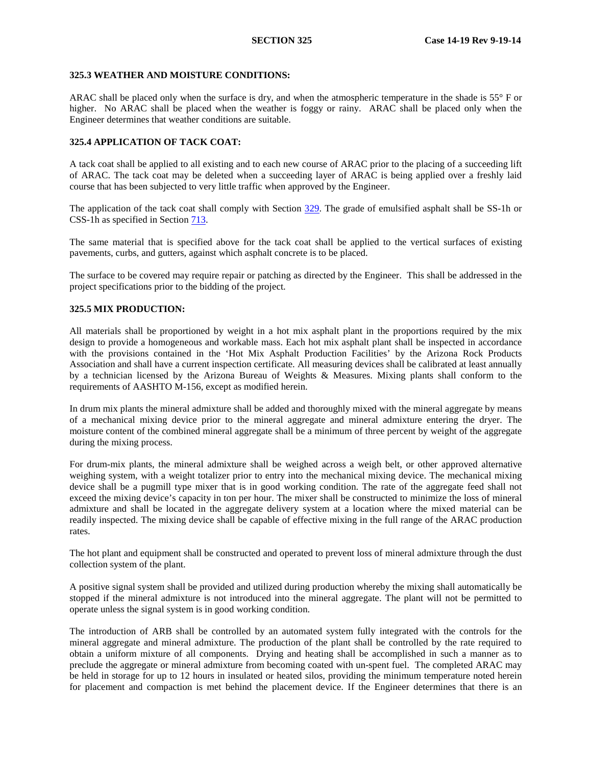### **325.3 WEATHER AND MOISTURE CONDITIONS:**

ARAC shall be placed only when the surface is dry, and when the atmospheric temperature in the shade is 55° F or higher. No ARAC shall be placed when the weather is foggy or rainy. ARAC shall be placed only when the Engineer determines that weather conditions are suitable.

## **325.4 APPLICATION OF TACK COAT:**

A tack coat shall be applied to all existing and to each new course of ARAC prior to the placing of a succeeding lift of ARAC. The tack coat may be deleted when a succeeding layer of ARAC is being applied over a freshly laid course that has been subjected to very little traffic when approved by the Engineer.

The application of the tack coat shall comply with Section 329. The grade of emulsified asphalt shall be SS-1h or CSS-1h as specified in Section 713.

The same material that is specified above for the tack coat shall be applied to the vertical surfaces of existing pavements, curbs, and gutters, against which asphalt concrete is to be placed.

The surface to be covered may require repair or patching as directed by the Engineer. This shall be addressed in the project specifications prior to the bidding of the project.

## <span id="page-15-0"></span>**325.5 MIX PRODUCTION:**

All materials shall be proportioned by weight in a hot mix asphalt plant in the proportions required by the mix design to provide a homogeneous and workable mass. Each hot mix asphalt plant shall be inspected in accordance with the provisions contained in the 'Hot Mix Asphalt Production Facilities' by the Arizona Rock Products Association and shall have a current inspection certificate. All measuring devices shall be calibrated at least annually by a technician licensed by the Arizona Bureau of Weights & Measures. Mixing plants shall conform to the requirements of AASHTO M-156, except as modified herein.

In drum mix plants the mineral admixture shall be added and thoroughly mixed with the mineral aggregate by means of a mechanical mixing device prior to the mineral aggregate and mineral admixture entering the dryer. The moisture content of the combined mineral aggregate shall be a minimum of three percent by weight of the aggregate during the mixing process.

For drum-mix plants, the mineral admixture shall be weighed across a weigh belt, or other approved alternative weighing system, with a weight totalizer prior to entry into the mechanical mixing device. The mechanical mixing device shall be a pugmill type mixer that is in good working condition. The rate of the aggregate feed shall not exceed the mixing device's capacity in ton per hour. The mixer shall be constructed to minimize the loss of mineral admixture and shall be located in the aggregate delivery system at a location where the mixed material can be readily inspected. The mixing device shall be capable of effective mixing in the full range of the ARAC production rates.

The hot plant and equipment shall be constructed and operated to prevent loss of mineral admixture through the dust collection system of the plant.

A positive signal system shall be provided and utilized during production whereby the mixing shall automatically be stopped if the mineral admixture is not introduced into the mineral aggregate. The plant will not be permitted to operate unless the signal system is in good working condition.

The introduction of ARB shall be controlled by an automated system fully integrated with the controls for the mineral aggregate and mineral admixture. The production of the plant shall be controlled by the rate required to obtain a uniform mixture of all components. Drying and heating shall be accomplished in such a manner as to preclude the aggregate or mineral admixture from becoming coated with un-spent fuel. The completed ARAC may be held in storage for up to 12 hours in insulated or heated silos, providing the minimum temperature noted herein for placement and compaction is met behind the placement device. If the Engineer determines that there is an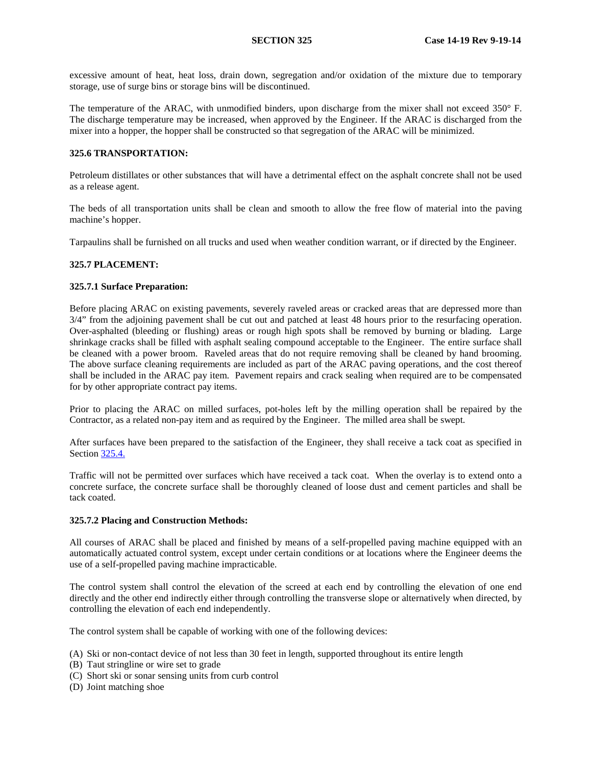excessive amount of heat, heat loss, drain down, segregation and/or oxidation of the mixture due to temporary storage, use of surge bins or storage bins will be discontinued.

The temperature of the ARAC, with unmodified binders, upon discharge from the mixer shall not exceed 350° F. The discharge temperature may be increased, when approved by the Engineer. If the ARAC is discharged from the mixer into a hopper, the hopper shall be constructed so that segregation of the ARAC will be minimized.

## <span id="page-16-0"></span>**325.6 TRANSPORTATION:**

Petroleum distillates or other substances that will have a detrimental effect on the asphalt concrete shall not be used as a release agent.

The beds of all transportation units shall be clean and smooth to allow the free flow of material into the paving machine's hopper.

Tarpaulins shall be furnished on all trucks and used when weather condition warrant, or if directed by the Engineer.

## **325.7 PLACEMENT:**

#### **325.7.1 Surface Preparation:**

Before placing ARAC on existing pavements, severely raveled areas or cracked areas that are depressed more than 3/4" from the adjoining pavement shall be cut out and patched at least 48 hours prior to the resurfacing operation. Over-asphalted (bleeding or flushing) areas or rough high spots shall be removed by burning or blading. Large shrinkage cracks shall be filled with asphalt sealing compound acceptable to the Engineer. The entire surface shall be cleaned with a power broom. Raveled areas that do not require removing shall be cleaned by hand brooming. The above surface cleaning requirements are included as part of the ARAC paving operations, and the cost thereof shall be included in the ARAC pay item. Pavement repairs and crack sealing when required are to be compensated for by other appropriate contract pay items.

Prior to placing the ARAC on milled surfaces, pot-holes left by the milling operation shall be repaired by the Contractor, as a related non-pay item and as required by the Engineer. The milled area shall be swept.

After surfaces have been prepared to the satisfaction of the Engineer, they shall receive a tack coat as specified in Section [325.4.](#page-18-0)

Traffic will not be permitted over surfaces which have received a tack coat. When the overlay is to extend onto a concrete surface, the concrete surface shall be thoroughly cleaned of loose dust and cement particles and shall be tack coated.

#### **325.7.2 Placing and Construction Methods:**

All courses of ARAC shall be placed and finished by means of a self-propelled paving machine equipped with an automatically actuated control system, except under certain conditions or at locations where the Engineer deems the use of a self-propelled paving machine impracticable.

The control system shall control the elevation of the screed at each end by controlling the elevation of one end directly and the other end indirectly either through controlling the transverse slope or alternatively when directed, by controlling the elevation of each end independently.

The control system shall be capable of working with one of the following devices:

- (A) Ski or non-contact device of not less than 30 feet in length, supported throughout its entire length
- (B) Taut stringline or wire set to grade
- (C) Short ski or sonar sensing units from curb control
- (D) Joint matching shoe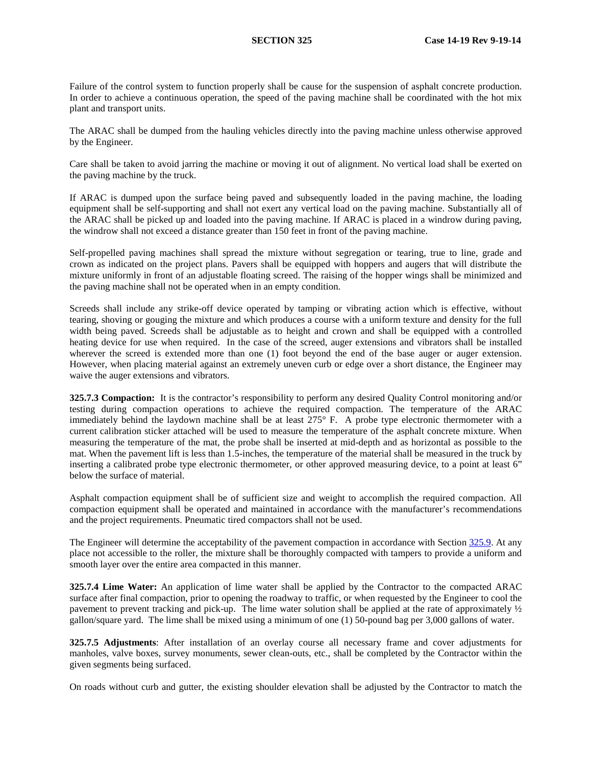Failure of the control system to function properly shall be cause for the suspension of asphalt concrete production. In order to achieve a continuous operation, the speed of the paving machine shall be coordinated with the hot mix plant and transport units.

The ARAC shall be dumped from the hauling vehicles directly into the paving machine unless otherwise approved by the Engineer.

Care shall be taken to avoid jarring the machine or moving it out of alignment. No vertical load shall be exerted on the paving machine by the truck.

If ARAC is dumped upon the surface being paved and subsequently loaded in the paving machine, the loading equipment shall be self-supporting and shall not exert any vertical load on the paving machine. Substantially all of the ARAC shall be picked up and loaded into the paving machine. If ARAC is placed in a windrow during paving, the windrow shall not exceed a distance greater than 150 feet in front of the paving machine.

Self-propelled paving machines shall spread the mixture without segregation or tearing, true to line, grade and crown as indicated on the project plans. Pavers shall be equipped with hoppers and augers that will distribute the mixture uniformly in front of an adjustable floating screed. The raising of the hopper wings shall be minimized and the paving machine shall not be operated when in an empty condition.

Screeds shall include any strike-off device operated by tamping or vibrating action which is effective, without tearing, shoving or gouging the mixture and which produces a course with a uniform texture and density for the full width being paved. Screeds shall be adjustable as to height and crown and shall be equipped with a controlled heating device for use when required. In the case of the screed, auger extensions and vibrators shall be installed wherever the screed is extended more than one (1) foot beyond the end of the base auger or auger extension. However, when placing material against an extremely uneven curb or edge over a short distance, the Engineer may waive the auger extensions and vibrators.

**325.7.3 Compaction:** It is the contractor's responsibility to perform any desired Quality Control monitoring and/or testing during compaction operations to achieve the required compaction. The temperature of the ARAC immediately behind the laydown machine shall be at least 275° F. A probe type electronic thermometer with a current calibration sticker attached will be used to measure the temperature of the asphalt concrete mixture. When measuring the temperature of the mat, the probe shall be inserted at mid-depth and as horizontal as possible to the mat. When the pavement lift is less than 1.5-inches, the temperature of the material shall be measured in the truck by inserting a calibrated probe type electronic thermometer, or other approved measuring device, to a point at least 6" below the surface of material.

Asphalt compaction equipment shall be of sufficient size and weight to accomplish the required compaction. All compaction equipment shall be operated and maintained in accordance with the manufacturer's recommendations and the project requirements. Pneumatic tired compactors shall not be used.

The Engineer will determine the acceptability of the pavement compaction in accordance with Section [325.9](#page-22-0). At any place not accessible to the roller, the mixture shall be thoroughly compacted with tampers to provide a uniform and smooth layer over the entire area compacted in this manner.

**325.7.4 Lime Water:** An application of lime water shall be applied by the Contractor to the compacted ARAC surface after final compaction, prior to opening the roadway to traffic, or when requested by the Engineer to cool the pavement to prevent tracking and pick-up. The lime water solution shall be applied at the rate of approximately ½ gallon/square yard. The lime shall be mixed using a minimum of one (1) 50-pound bag per 3,000 gallons of water.

**325.7.5 Adjustments**: After installation of an overlay course all necessary frame and cover adjustments for manholes, valve boxes, survey monuments, sewer clean-outs, etc., shall be completed by the Contractor within the given segments being surfaced.

On roads without curb and gutter, the existing shoulder elevation shall be adjusted by the Contractor to match the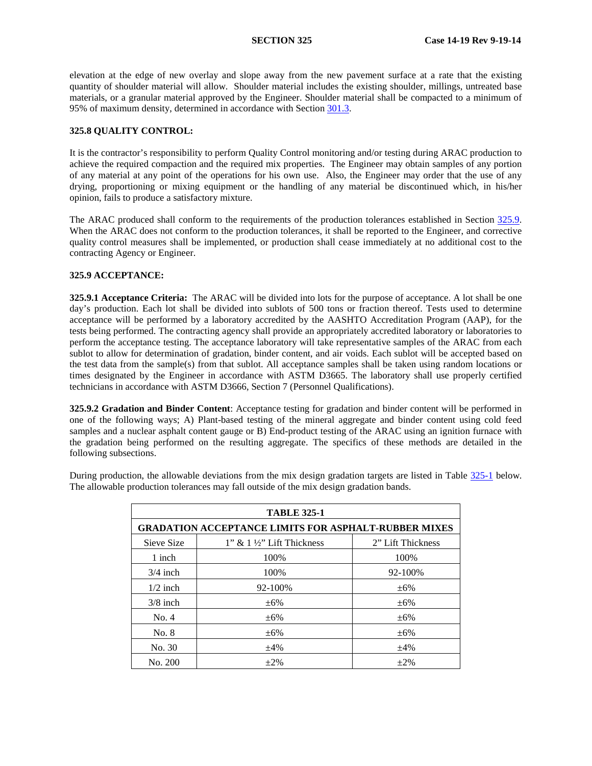elevation at the edge of new overlay and slope away from the new pavement surface at a rate that the existing quantity of shoulder material will allow. Shoulder material includes the existing shoulder, millings, untreated base materials, or a granular material approved by the Engineer. Shoulder material shall be compacted to a minimum of 95% of maximum density, determined in accordance with Section 301.3.

## <span id="page-18-0"></span>**325.8 QUALITY CONTROL:**

It is the contractor's responsibility to perform Quality Control monitoring and/or testing during ARAC production to achieve the required compaction and the required mix properties. The Engineer may obtain samples of any portion of any material at any point of the operations for his own use. Also, the Engineer may order that the use of any drying, proportioning or mixing equipment or the handling of any material be discontinued which, in his/her opinion, fails to produce a satisfactory mixture.

The ARAC produced shall conform to the requirements of the production tolerances established in Section 325.9. When the ARAC does not conform to the production tolerances, it shall be reported to the Engineer, and corrective quality control measures shall be implemented, or production shall cease immediately at no additional cost to the contracting Agency or Engineer.

#### <span id="page-18-1"></span>**325.9 ACCEPTANCE:**

**325.9.1 Acceptance Criteria:** The ARAC will be divided into lots for the purpose of acceptance. A lot shall be one day's production. Each lot shall be divided into sublots of 500 tons or fraction thereof. Tests used to determine acceptance will be performed by a laboratory accredited by the AASHTO Accreditation Program (AAP), for the tests being performed. The contracting agency shall provide an appropriately accredited laboratory or laboratories to perform the acceptance testing. The acceptance laboratory will take representative samples of the ARAC from each sublot to allow for determination of gradation, binder content, and air voids. Each sublot will be accepted based on the test data from the sample(s) from that sublot. All acceptance samples shall be taken using random locations or times designated by the Engineer in accordance with ASTM D3665. The laboratory shall use properly certified technicians in accordance with ASTM D3666, Section 7 (Personnel Qualifications).

**325.9.2 Gradation and Binder Content**: Acceptance testing for gradation and binder content will be performed in one of the following ways; A) Plant-based testing of the mineral aggregate and binder content using cold feed samples and a nuclear asphalt content gauge or B) End-product testing of the ARAC using an ignition furnace with the gradation being performed on the resulting aggregate. The specifics of these methods are detailed in the following subsections.

During production, the allowable deviations from the mix design gradation targets are listed in Table 325-1 below. The allowable production tolerances may fall outside of the mix design gradation bands.

| <b>TABLE 325-1</b>                                          |                                         |                   |
|-------------------------------------------------------------|-----------------------------------------|-------------------|
| <b>GRADATION ACCEPTANCE LIMITS FOR ASPHALT-RUBBER MIXES</b> |                                         |                   |
| Sieve Size                                                  | $1$ " & $1\frac{1}{2}$ " Lift Thickness | 2" Lift Thickness |
| 1 inch                                                      | 100%                                    | 100%              |
| $3/4$ inch                                                  | 100%                                    | 92-100%           |
| $1/2$ inch                                                  | 92-100%                                 | $\pm 6\%$         |
| $3/8$ inch                                                  | $\pm 6\%$                               | $\pm 6\%$         |
| No. 4                                                       | $\pm 6\%$                               | $\pm 6\%$         |
| No. 8                                                       | $\pm 6\%$                               | $\pm 6\%$         |
| No. 30                                                      | $+4\%$                                  | $+4%$             |
| No. 200                                                     | $+2\%$                                  | $+2\%$            |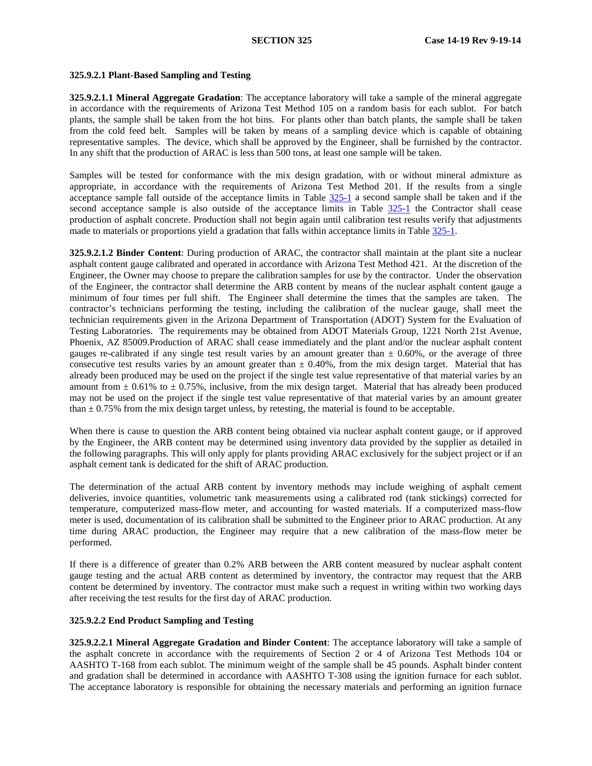## **325.9.2.1 Plant-Based Sampling and Testing**

**325.9.2.1.1 Mineral Aggregate Gradation**: The acceptance laboratory will take a sample of the mineral aggregate in accordance with the requirements of Arizona Test Method 105 on a random basis for each sublot. For batch plants, the sample shall be taken from the hot bins. For plants other than batch plants, the sample shall be taken from the cold feed belt. Samples will be taken by means of a sampling device which is capable of obtaining representative samples. The device, which shall be approved by the Engineer, shall be furnished by the contractor. In any shift that the production of ARAC is less than 500 tons, at least one sample will be taken.

Samples will be tested for conformance with the mix design gradation, with or without mineral admixture as appropriate, in accordance with the requirements of Arizona Test Method 201. If the results from a single acceptance sample fall outside of the acceptance limits in Table 325-1 a second sample shall be taken and if the second acceptance sample is also outside of the acceptance limits in Table 325-1 the Contractor shall cease production of asphalt concrete. Production shall not begin again until calibration test results verify that adjustments made to materials or proportions yield a gradation that falls within acceptance limits in Table 325-1.

**325.9.2.1.2 Binder Content**: During production of ARAC, the contractor shall maintain at the plant site a nuclear asphalt content gauge calibrated and operated in accordance with Arizona Test Method 421. At the discretion of the Engineer, the Owner may choose to prepare the calibration samples for use by the contractor. Under the observation of the Engineer, the contractor shall determine the ARB content by means of the nuclear asphalt content gauge a minimum of four times per full shift. The Engineer shall determine the times that the samples are taken. The contractor's technicians performing the testing, including the calibration of the nuclear gauge, shall meet the technician requirements given in the Arizona Department of Transportation (ADOT) System for the Evaluation of Testing Laboratories. The requirements may be obtained from ADOT Materials Group, 1221 North 21st Avenue, Phoenix, AZ 85009.Production of ARAC shall cease immediately and the plant and/or the nuclear asphalt content gauges re-calibrated if any single test result varies by an amount greater than  $\pm$  0.60%, or the average of three consecutive test results varies by an amount greater than  $\pm$  0.40%, from the mix design target. Material that has already been produced may be used on the project if the single test value representative of that material varies by an amount from  $\pm$  0.61% to  $\pm$  0.75%, inclusive, from the mix design target. Material that has already been produced may not be used on the project if the single test value representative of that material varies by an amount greater than  $\pm$  0.75% from the mix design target unless, by retesting, the material is found to be acceptable.

When there is cause to question the ARB content being obtained via nuclear asphalt content gauge, or if approved by the Engineer, the ARB content may be determined using inventory data provided by the supplier as detailed in the following paragraphs. This will only apply for plants providing ARAC exclusively for the subject project or if an asphalt cement tank is dedicated for the shift of ARAC production.

The determination of the actual ARB content by inventory methods may include weighing of asphalt cement deliveries, invoice quantities, volumetric tank measurements using a calibrated rod (tank stickings) corrected for temperature, computerized mass-flow meter, and accounting for wasted materials. If a computerized mass-flow meter is used, documentation of its calibration shall be submitted to the Engineer prior to ARAC production. At any time during ARAC production, the Engineer may require that a new calibration of the mass-flow meter be performed.

If there is a difference of greater than 0.2% ARB between the ARB content measured by nuclear asphalt content gauge testing and the actual ARB content as determined by inventory, the contractor may request that the ARB content be determined by inventory. The contractor must make such a request in writing within two working days after receiving the test results for the first day of ARAC production.

## **325.9.2.2 End Product Sampling and Testing**

**325.9.2.2.1 Mineral Aggregate Gradation and Binder Content**: The acceptance laboratory will take a sample of the asphalt concrete in accordance with the requirements of Section 2 or 4 of Arizona Test Methods 104 or AASHTO T-168 from each sublot. The minimum weight of the sample shall be 45 pounds. Asphalt binder content and gradation shall be determined in accordance with AASHTO T-308 using the ignition furnace for each sublot. The acceptance laboratory is responsible for obtaining the necessary materials and performing an ignition furnace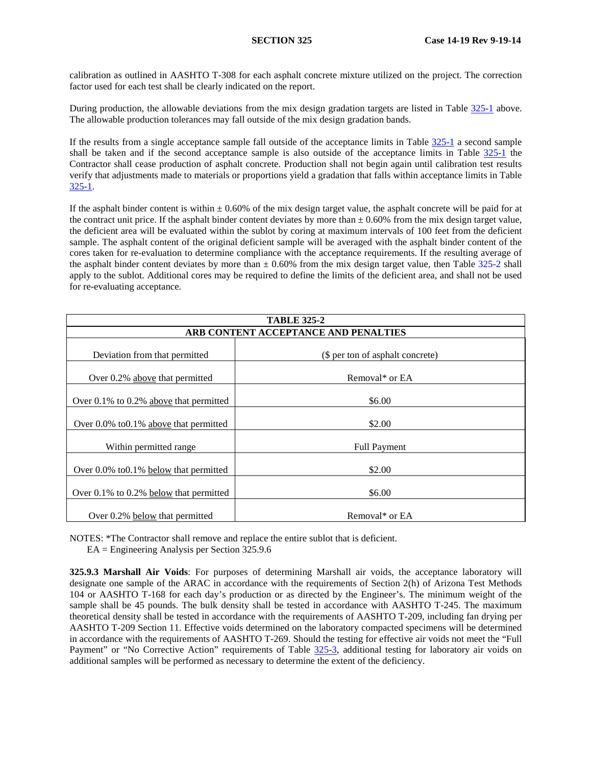calibration as outlined in AASHTO T-308 for each asphalt concrete mixture utilized on the project. The correction factor used for each test shall be clearly indicated on the report.

During production, the allowable deviations from the mix design gradation targets are listed in Table 325-1 above. The allowable production tolerances may fall outside of the mix design gradation bands.

If the results from a single acceptance sample fall outside of the acceptance limits in Table 325-1 a second sample shall be taken and if the second acceptance sample is also outside of the acceptance limits in Table 325-1 the Contractor shall cease production of asphalt concrete. Production shall not begin again until calibration test results verify that adjustments made to materials or proportions yield a gradation that falls within acceptance limits in Table 325-1.

If the asphalt binder content is within  $\pm 0.60\%$  of the mix design target value, the asphalt concrete will be paid for at the contract unit price. If the asphalt binder content deviates by more than  $\pm 0.60\%$  from the mix design target value. the deficient area will be evaluated within the sublot by coring at maximum intervals of 100 feet from the deficient sample. The asphalt content of the original deficient sample will be averaged with the asphalt binder content of the cores taken for re-evaluation to determine compliance with the acceptance requirements. If the resulting average of the asphalt binder content deviates by more than  $\pm$  0.60% from the mix design target value, then Table 325-2 shall apply to the sublot. Additional cores may be required to define the limits of the deficient area, and shall not be used for re-evaluating acceptance.

| <b>TABLE 325-2</b>                           |                                  |  |
|----------------------------------------------|----------------------------------|--|
| ARB CONTENT ACCEPTANCE AND PENALTIES         |                                  |  |
| Deviation from that permitted                | (\$ per ton of asphalt concrete) |  |
| Over 0.2% above that permitted               | Removal* or EA                   |  |
| Over $0.1\%$ to $0.2\%$ above that permitted | \$6.00                           |  |
| Over $0.0\%$ to $0.1\%$ above that permitted | \$2.00                           |  |
| Within permitted range                       | <b>Full Payment</b>              |  |
| Over 0.0% to 0.1% below that permitted       | \$2.00                           |  |
| Over $0.1\%$ to $0.2\%$ below that permitted | \$6.00                           |  |
| Over 0.2% below that permitted               | Removal* or EA                   |  |

NOTES: \*The Contractor shall remove and replace the entire sublot that is deficient. EA = Engineering Analysis per Section 325.9.6

**325.9.3 Marshall Air Voids**: For purposes of determining Marshall air voids, the acceptance laboratory will designate one sample of the ARAC in accordance with the requirements of Section 2(h) of Arizona Test Methods 104 or AASHTO T-168 for each day's production or as directed by the Engineer's. The minimum weight of the sample shall be 45 pounds. The bulk density shall be tested in accordance with AASHTO T-245. The maximum theoretical density shall be tested in accordance with the requirements of AASHTO T-209, including fan drying per AASHTO T-209 Section 11. Effective voids determined on the laboratory compacted specimens will be determined in accordance with the requirements of AASHTO T-269. Should the testing for effective air voids not meet the "Full Payment" or "No Corrective Action" requirements of Table [325-3](#page-15-0), additional testing for laboratory air voids on additional samples will be performed as necessary to determine the extent of the deficiency.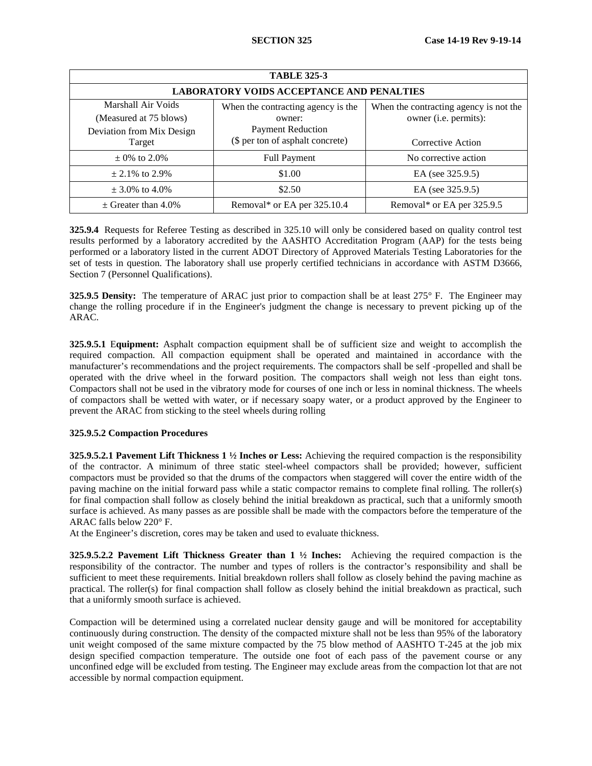| <b>TABLE 325-3</b>                                                        |                                                                          |                                                                 |  |
|---------------------------------------------------------------------------|--------------------------------------------------------------------------|-----------------------------------------------------------------|--|
| <b>LABORATORY VOIDS ACCEPTANCE AND PENALTIES</b>                          |                                                                          |                                                                 |  |
| Marshall Air Voids<br>(Measured at 75 blows)<br>Deviation from Mix Design | When the contracting agency is the<br>owner:<br><b>Payment Reduction</b> | When the contracting agency is not the<br>owner (i.e. permits): |  |
| Target                                                                    | (\$ per ton of asphalt concrete)                                         | Corrective Action                                               |  |
| $\pm$ 0% to 2.0%                                                          | <b>Full Payment</b>                                                      | No corrective action                                            |  |
| $\pm 2.1\%$ to 2.9%                                                       | \$1.00                                                                   | EA (see 325.9.5)                                                |  |
| $\pm$ 3.0% to 4.0%                                                        | \$2.50                                                                   | EA (see 325.9.5)                                                |  |
| $\pm$ Greater than 4.0%                                                   | Removal* or EA per 325.10.4                                              | Removal* or EA per 325.9.5                                      |  |

**325.9.4** Requests for Referee Testing as described in 325.10 will only be considered based on quality control test results performed by a laboratory accredited by the AASHTO Accreditation Program (AAP) for the tests being performed or a laboratory listed in the current ADOT Directory of Approved Materials Testing Laboratories for the set of tests in question. The laboratory shall use properly certified technicians in accordance with ASTM D3666, Section 7 (Personnel Qualifications).

**325.9.5 Density:** The temperature of ARAC just prior to compaction shall be at least 275° F. The Engineer may change the rolling procedure if in the Engineer's judgment the change is necessary to prevent picking up of the ARAC.

**325.9.5.1** E**quipment:** Asphalt compaction equipment shall be of sufficient size and weight to accomplish the required compaction. All compaction equipment shall be operated and maintained in accordance with the manufacturer's recommendations and the project requirements. The compactors shall be self -propelled and shall be operated with the drive wheel in the forward position. The compactors shall weigh not less than eight tons. Compactors shall not be used in the vibratory mode for courses of one inch or less in nominal thickness. The wheels of compactors shall be wetted with water, or if necessary soapy water, or a product approved by the Engineer to prevent the ARAC from sticking to the steel wheels during rolling

## <span id="page-21-0"></span>**325.9.5.2 Compaction Procedures**

**325.9.5.2.1 Pavement Lift Thickness 1 ½ Inches or Less:** Achieving the required compaction is the responsibility of the contractor. A minimum of three static steel-wheel compactors shall be provided; however, sufficient compactors must be provided so that the drums of the compactors when staggered will cover the entire width of the paving machine on the initial forward pass while a static compactor remains to complete final rolling. The roller(s) for final compaction shall follow as closely behind the initial breakdown as practical, such that a uniformly smooth surface is achieved. As many passes as are possible shall be made with the compactors before the temperature of the ARAC falls below 220° F.

At the Engineer's discretion, cores may be taken and used to evaluate thickness.

**325.9.5.2.2 Pavement Lift Thickness Greater than 1 ½ Inches:** Achieving the required compaction is the responsibility of the contractor. The number and types of rollers is the contractor's responsibility and shall be sufficient to meet these requirements. Initial breakdown rollers shall follow as closely behind the paving machine as practical. The roller(s) for final compaction shall follow as closely behind the initial breakdown as practical, such that a uniformly smooth surface is achieved.

Compaction will be determined using a correlated nuclear density gauge and will be monitored for acceptability continuously during construction. The density of the compacted mixture shall not be less than 95% of the laboratory unit weight composed of the same mixture compacted by the 75 blow method of AASHTO T-245 at the job mix design specified compaction temperature. The outside one foot of each pass of the pavement course or any unconfined edge will be excluded from testing. The Engineer may exclude areas from the compaction lot that are not accessible by normal compaction equipment.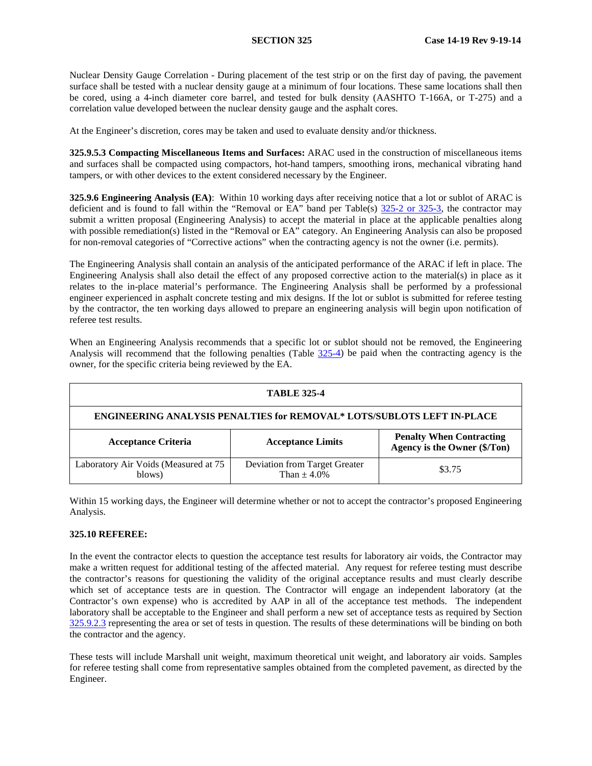Nuclear Density Gauge Correlation - During placement of the test strip or on the first day of paving, the pavement surface shall be tested with a nuclear density gauge at a minimum of four locations. These same locations shall then be cored, using a 4-inch diameter core barrel, and tested for bulk density (AASHTO T-166A, or T-275) and a correlation value developed between the nuclear density gauge and the asphalt cores.

At the Engineer's discretion, cores may be taken and used to evaluate density and/or thickness.

**325.9.5.3 Compacting Miscellaneous Items and Surfaces:** ARAC used in the construction of miscellaneous items and surfaces shall be compacted using compactors, hot-hand tampers, smoothing irons, mechanical vibrating hand tampers, or with other devices to the extent considered necessary by the Engineer.

**325.9.6 Engineering Analysis (EA)**: Within 10 working days after receiving notice that a lot or sublot of ARAC is deficient and is found to fall within the "Removal or EA" band per Table(s) [325-2](#page-15-0) or 325-3, the contractor may submit a written proposal (Engineering Analysis) to accept the material in place at the applicable penalties along with possible remediation(s) listed in the "Removal or EA" category. An Engineering Analysis can also be proposed for non-removal categories of "Corrective actions" when the contracting agency is not the owner (i.e. permits).

The Engineering Analysis shall contain an analysis of the anticipated performance of the ARAC if left in place. The Engineering Analysis shall also detail the effect of any proposed corrective action to the material(s) in place as it relates to the in-place material's performance. The Engineering Analysis shall be performed by a professional engineer experienced in asphalt concrete testing and mix designs. If the lot or sublot is submitted for referee testing by the contractor, the ten working days allowed to prepare an engineering analysis will begin upon notification of referee test results.

When an Engineering Analysis recommends that a specific lot or sublot should not be removed, the Engineering Analysis will recommend that the following penalties (Table [325-4](#page-16-0)) be paid when the contracting agency is the owner, for the specific criteria being reviewed by the EA.

| <b>TABLE 325-4</b>                                                                                                        |                                                  |        |  |
|---------------------------------------------------------------------------------------------------------------------------|--------------------------------------------------|--------|--|
| <b>ENGINEERING ANALYSIS PENALTIES for REMOVAL* LOTS/SUBLOTS LEFT IN-PLACE</b>                                             |                                                  |        |  |
| <b>Penalty When Contracting</b><br><b>Acceptance Criteria</b><br><b>Acceptance Limits</b><br>Agency is the Owner (\$/Ton) |                                                  |        |  |
| Laboratory Air Voids (Measured at 75<br>blows)                                                                            | Deviation from Target Greater<br>Than $\pm$ 4.0% | \$3.75 |  |

Within 15 working days, the Engineer will determine whether or not to accept the contractor's proposed Engineering Analysis.

## <span id="page-22-0"></span>**325.10 REFEREE:**

In the event the contractor elects to question the acceptance test results for laboratory air voids, the Contractor may make a written request for additional testing of the affected material. Any request for referee testing must describe the contractor's reasons for questioning the validity of the original acceptance results and must clearly describe which set of acceptance tests are in question. The Contractor will engage an independent laboratory (at the Contractor's own expense) who is accredited by AAP in all of the acceptance test methods. The independent laboratory shall be acceptable to the Engineer and shall perform a new set of acceptance tests as required by Section [325.9.2.3](#page-21-0) representing the area or set of tests in question. The results of these determinations will be binding on both the contractor and the agency.

These tests will include Marshall unit weight, maximum theoretical unit weight, and laboratory air voids. Samples for referee testing shall come from representative samples obtained from the completed pavement, as directed by the Engineer.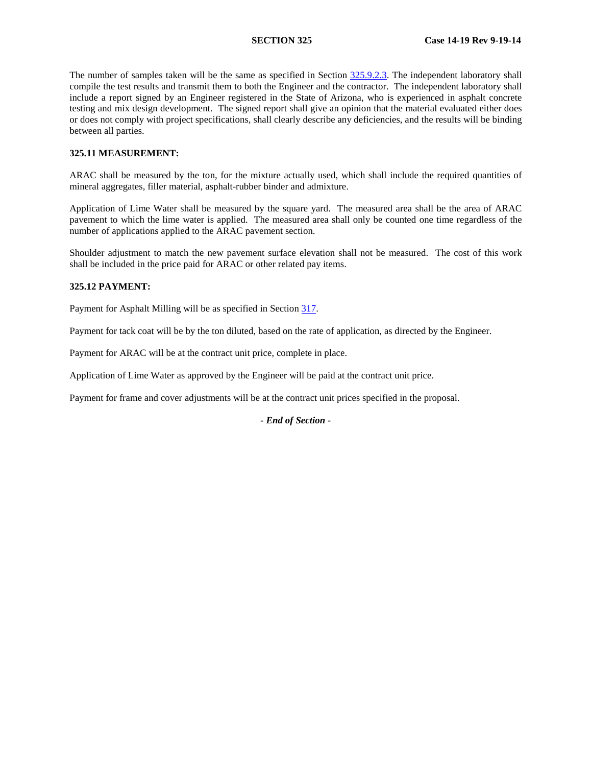The number of samples taken will be the same as specified in Section [325.9.2.3.](#page-21-0) The independent laboratory shall compile the test results and transmit them to both the Engineer and the contractor. The independent laboratory shall include a report signed by an Engineer registered in the State of Arizona, who is experienced in asphalt concrete testing and mix design development. The signed report shall give an opinion that the material evaluated either does or does not comply with project specifications, shall clearly describe any deficiencies, and the results will be binding between all parties.

### **325.11 MEASUREMENT:**

ARAC shall be measured by the ton, for the mixture actually used, which shall include the required quantities of mineral aggregates, filler material, asphalt-rubber binder and admixture.

Application of Lime Water shall be measured by the square yard. The measured area shall be the area of ARAC pavement to which the lime water is applied. The measured area shall only be counted one time regardless of the number of applications applied to the ARAC pavement section.

Shoulder adjustment to match the new pavement surface elevation shall not be measured. The cost of this work shall be included in the price paid for ARAC or other related pay items.

## **325.12 PAYMENT:**

Payment for Asphalt Milling will be as specified in Section 317.

Payment for tack coat will be by the ton diluted, based on the rate of application, as directed by the Engineer.

Payment for ARAC will be at the contract unit price, complete in place.

Application of Lime Water as approved by the Engineer will be paid at the contract unit price.

Payment for frame and cover adjustments will be at the contract unit prices specified in the proposal.

*- End of Section -*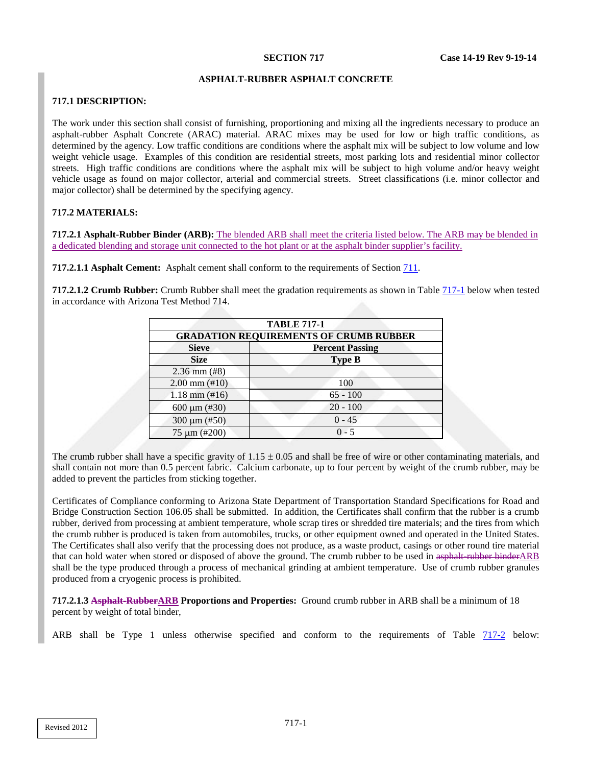### **ASPHALT-RUBBER ASPHALT CONCRETE**

## **717.1 DESCRIPTION:**

The work under this section shall consist of furnishing, proportioning and mixing all the ingredients necessary to produce an asphalt-rubber Asphalt Concrete (ARAC) material. ARAC mixes may be used for low or high traffic conditions, as determined by the agency. Low traffic conditions are conditions where the asphalt mix will be subject to low volume and low weight vehicle usage. Examples of this condition are residential streets, most parking lots and residential minor collector streets. High traffic conditions are conditions where the asphalt mix will be subject to high volume and/or heavy weight vehicle usage as found on major collector, arterial and commercial streets. Street classifications (i.e. minor collector and major collector) shall be determined by the specifying agency.

# **717.2 MATERIALS:**

**717.2.1 Asphalt-Rubber Binder (ARB):** The blended ARB shall meet the criteria listed below. The ARB may be blended in a dedicated blending and storage unit connected to the hot plant or at the asphalt binder supplier's facility.

**717.2.1.1 Asphalt Cement:** Asphalt cement shall conform to the requirements of Section 711.

**717.2.1.2 Crumb Rubber:** Crumb Rubber shall meet the gradation requirements as shown in Tabl[e 717-1](#page-24-0) below when tested in accordance with Arizona Test Method 714.

<span id="page-24-0"></span>

| <b>TABLE 717-1</b><br><b>GRADATION REQUIREMENTS OF CRUMB RUBBER</b> |            |  |
|---------------------------------------------------------------------|------------|--|
|                                                                     |            |  |
| $2.36$ mm $(#8)$                                                    |            |  |
| $2.00$ mm $(\text{\#}10)$                                           | 100        |  |
| $1.18$ mm $(\text{\#}16)$                                           | $65 - 100$ |  |
| 600 $\mu$ m (#30)                                                   | $20 - 100$ |  |
| 300 $\mu$ m (#50)                                                   | $0 - 45$   |  |
| $75 \mu m$ (#200)                                                   | $0 - 5$    |  |

The crumb rubber shall have a specific gravity of  $1.15 \pm 0.05$  and shall be free of wire or other contaminating materials, and shall contain not more than 0.5 percent fabric. Calcium carbonate, up to four percent by weight of the crumb rubber, may be added to prevent the particles from sticking together.

Certificates of Compliance conforming to Arizona State Department of Transportation Standard Specifications for Road and Bridge Construction Section 106.05 shall be submitted. In addition, the Certificates shall confirm that the rubber is a crumb rubber, derived from processing at ambient temperature, whole scrap tires or shredded tire materials; and the tires from which the crumb rubber is produced is taken from automobiles, trucks, or other equipment owned and operated in the United States. The Certificates shall also verify that the processing does not produce, as a waste product, casings or other round tire material that can hold water when stored or disposed of above the ground. The crumb rubber to be used in asphalt-rubber binderARB shall be the type produced through a process of mechanical grinding at ambient temperature. Use of crumb rubber granules produced from a cryogenic process is prohibited.

**717.2.1.3 Asphalt-RubberARB Proportions and Properties:** Ground crumb rubber in ARB shall be a minimum of 18 percent by weight of total binder,

ARB shall be Type 1 unless otherwise specified and conform to the requirements of Table 717-2 below: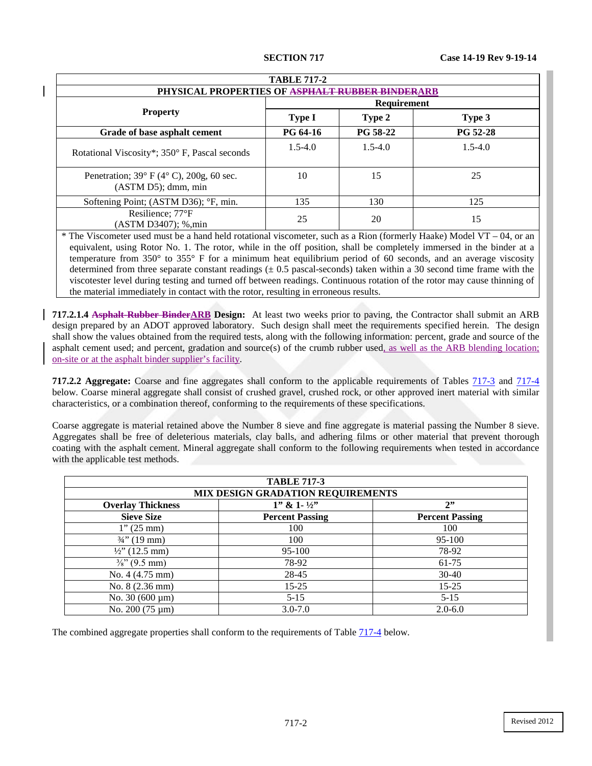| <b>TABLE 717-2</b>                                                                    |                 |                 |                 |
|---------------------------------------------------------------------------------------|-----------------|-----------------|-----------------|
| <b>PHYSICAL PROPERTIES OF ASPHALT RUBBER BINDERARB</b>                                |                 |                 |                 |
|                                                                                       | Requirement     |                 |                 |
| <b>Property</b>                                                                       | <b>Type I</b>   | Type 2          | Type 3          |
| Grade of base asphalt cement                                                          | <b>PG 64-16</b> | <b>PG 58-22</b> | <b>PG 52-28</b> |
| Rotational Viscosity*; 350° F, Pascal seconds                                         | $1.5 - 4.0$     | $1.5 - 4.0$     | $1.5 - 4.0$     |
| Penetration; $39^{\circ}$ F ( $4^{\circ}$ C), $200g$ , 60 sec.<br>(ASTM D5); dmm, min | 10              | 15              | 25              |
| Softening Point; (ASTM D36); °F, min.                                                 | 135             | 130             | 125             |
| Resilience; 77°F<br>(ASTM D3407); %,min                                               | 25              | 20              | 15              |

\* The Viscometer used must be a hand held rotational viscometer, such as a Rion (formerly Haake) Model VT – 04, or an equivalent, using Rotor No. 1. The rotor, while in the off position, shall be completely immersed in the binder at a temperature from 350° to 355° F for a minimum heat equilibrium period of 60 seconds, and an average viscosity determined from three separate constant readings  $(± 0.5$  pascal-seconds) taken within a 30 second time frame with the viscotester level during testing and turned off between readings. Continuous rotation of the rotor may cause thinning of the material immediately in contact with the rotor, resulting in erroneous results.

**717.2.1.4 Asphalt-Rubber BinderARB Design:** At least two weeks prior to paving, the Contractor shall submit an ARB design prepared by an ADOT approved laboratory. Such design shall meet the requirements specified herein. The design shall show the values obtained from the required tests, along with the following information: percent, grade and source of the asphalt cement used; and percent, gradation and source(s) of the crumb rubber used, as well as the ARB blending location; on-site or at the asphalt binder supplier's facility.

**717.2.2 Aggregate:** Coarse and fine aggregates shall conform to the applicable requirements of Tables  $\frac{717-3}{17-4}$  and  $\frac{717-4}{17-4}$ below. Coarse mineral aggregate shall consist of crushed gravel, crushed rock, or other approved inert material with similar characteristics, or a combination thereof, conforming to the requirements of these specifications.

Coarse aggregate is material retained above the Number 8 sieve and fine aggregate is material passing the Number 8 sieve. Aggregates shall be free of deleterious materials, clay balls, and adhering films or other material that prevent thorough coating with the asphalt cement. Mineral aggregate shall conform to the following requirements when tested in accordance with the applicable test methods.

<span id="page-25-0"></span>

| <b>TABLE 717-3</b>                |                           |                        |  |
|-----------------------------------|---------------------------|------------------------|--|
| MIX DESIGN GRADATION REQUIREMENTS |                           |                        |  |
| <b>Overlay Thickness</b>          | $1''$ & $1 - \frac{1}{2}$ | 2"                     |  |
| <b>Sieve Size</b>                 | <b>Percent Passing</b>    | <b>Percent Passing</b> |  |
| $1''(25 \text{ mm})$              | 100                       | 100                    |  |
| $\frac{3}{4}$ " (19 mm)           | 100                       | 95-100                 |  |
| $\frac{1}{2}$ (12.5 mm)           | 95-100                    | 78-92                  |  |
| $\frac{3}{8}$ " (9.5 mm)          | 78-92                     | 61-75                  |  |
| No. 4 (4.75 mm)                   | 28-45                     | $30-40$                |  |
| No. 8 (2.36 mm)                   | $15 - 25$                 | $15 - 25$              |  |
| No. $30(600 \,\mu m)$             | $5 - 15$                  | $5 - 15$               |  |
| No. 200 (75 µm)                   | $3.0 - 7.0$               | $2.0 - 6.0$            |  |

The combined aggregate properties shall conform to the requirements of Table  $717-4$  below.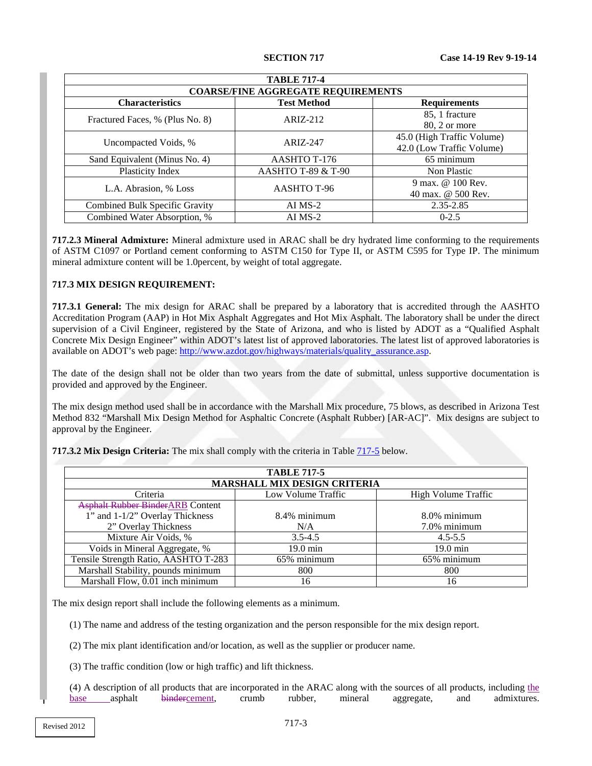<span id="page-26-0"></span>

| <b>TABLE 717-4</b>                        |                    |                                                         |  |
|-------------------------------------------|--------------------|---------------------------------------------------------|--|
| <b>COARSE/FINE AGGREGATE REQUIREMENTS</b> |                    |                                                         |  |
| <b>Characteristics</b>                    | <b>Test Method</b> | <b>Requirements</b>                                     |  |
| Fractured Faces, % (Plus No. 8)           | $ARIZ-212$         | 85, 1 fracture<br>80, 2 or more                         |  |
| Uncompacted Voids, %                      | ARIZ-247           | 45.0 (High Traffic Volume)<br>42.0 (Low Traffic Volume) |  |
| Sand Equivalent (Minus No. 4)             | AASHTO T-176       | 65 minimum                                              |  |
| Plasticity Index                          | AASHTO T-89 & T-90 | Non Plastic                                             |  |
| L.A. Abrasion, % Loss                     | AASHTO T-96        | 9 max. @ 100 Rev.<br>40 max. @ 500 Rev.                 |  |
| Combined Bulk Specific Gravity            | $AI$ MS-2          | 2.35-2.85                                               |  |
| Combined Water Absorption, %              | $AI$ MS-2          | $0 - 2.5$                                               |  |

**717.2.3 Mineral Admixture:** Mineral admixture used in ARAC shall be dry hydrated lime conforming to the requirements of ASTM C1097 or Portland cement conforming to ASTM C150 for Type II, or ASTM C595 for Type IP. The minimum mineral admixture content will be 1.0percent, by weight of total aggregate.

## **717.3 MIX DESIGN REQUIREMENT:**

**717.3.1 General:** The mix design for ARAC shall be prepared by a laboratory that is accredited through the AASHTO Accreditation Program (AAP) in Hot Mix Asphalt Aggregates and Hot Mix Asphalt. The laboratory shall be under the direct supervision of a Civil Engineer, registered by the State of Arizona, and who is listed by ADOT as a "Qualified Asphalt Concrete Mix Design Engineer" within ADOT's latest list of approved laboratories. The latest list of approved laboratories is available on ADOT's web page: [http://www.azdot.gov/highways/materials/quality\\_assurance.asp.](http://www.azdot.gov/highways/materials/quality_assurance.asp)

The date of the design shall not be older than two years from the date of submittal, unless supportive documentation is provided and approved by the Engineer.

The mix design method used shall be in accordance with the Marshall Mix procedure, 75 blows, as described in Arizona Test Method 832 "Marshall Mix Design Method for Asphaltic Concrete (Asphalt Rubber) [AR-AC]". Mix designs are subject to approval by the Engineer.

<span id="page-26-1"></span>

| <b>17.3.4 MIX Design Criteria:</b> The fillx shall comply with the criteria in Table 717-3 below. |                                     |                     |  |
|---------------------------------------------------------------------------------------------------|-------------------------------------|---------------------|--|
|                                                                                                   | <b>TABLE 717-5</b>                  |                     |  |
|                                                                                                   | <b>MARSHALL MIX DESIGN CRITERIA</b> |                     |  |
| Criteria                                                                                          | Low Volume Traffic                  | High Volume Traffic |  |
| <b>Asphalt Rubber BinderARB Content</b>                                                           |                                     |                     |  |
| 1" and 1-1/2" Overlay Thickness                                                                   | 8.4% minimum                        | $8.0\%$ minimum     |  |
| 2" Overlay Thickness                                                                              | N/A                                 | 7.0% minimum        |  |
| Mixture Air Voids, %                                                                              | $3.5 - 4.5$                         | $4.5 - 5.5$         |  |
| Voids in Mineral Aggregate, %                                                                     | $19.0 \text{ min}$                  | $19.0 \text{ min}$  |  |

**Design Criteria:** The mix shall comply with the criteria in Table [717-5](#page-26-1) below.

The mix design report shall include the following elements as a minimum.

(1) The name and address of the testing organization and the person responsible for the mix design report.

Tensile Strength Ratio, AASHTO T-283 65% minimum 65% minimum 65% minimum Marshall Stability, pounds minimum and the solution of the solution of the solution of the solution of the solution of the solution of the solution of the solution of the solution of the solution of the solution of the sol Marshall Flow, 0.01 inch minimum 16 16 16

(2) The mix plant identification and/or location, as well as the supplier or producer name.

(3) The traffic condition (low or high traffic) and lift thickness.

(4) A description of all products that are incorporated in the ARAC along with the sources of all products, including the base asphalt bindercement, crumb rubber, mineral aggregate, and admixtures.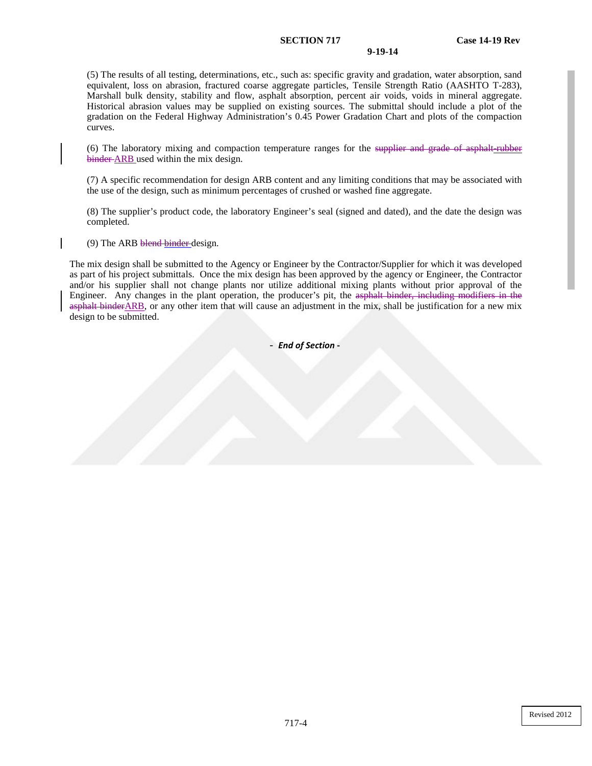### **SECTION 717 Case 14-19 Rev**

#### **9-19-14**

(5) The results of all testing, determinations, etc., such as: specific gravity and gradation, water absorption, sand equivalent, loss on abrasion, fractured coarse aggregate particles, Tensile Strength Ratio (AASHTO T-283), Marshall bulk density, stability and flow, asphalt absorption, percent air voids, voids in mineral aggregate. Historical abrasion values may be supplied on existing sources. The submittal should include a plot of the gradation on the Federal Highway Administration's 0.45 Power Gradation Chart and plots of the compaction curves.

(6) The laboratory mixing and compaction temperature ranges for the supplier and grade of asphalt-rubber binder ARB used within the mix design.

(7) A specific recommendation for design ARB content and any limiting conditions that may be associated with the use of the design, such as minimum percentages of crushed or washed fine aggregate.

(8) The supplier's product code, the laboratory Engineer's seal (signed and dated), and the date the design was completed.

(9) The ARB blend binder design.

The mix design shall be submitted to the Agency or Engineer by the Contractor/Supplier for which it was developed as part of his project submittals. Once the mix design has been approved by the agency or Engineer, the Contractor and/or his supplier shall not change plants nor utilize additional mixing plants without prior approval of the Engineer. Any changes in the plant operation, the producer's pit, the asphalt binder, including modifiers in the asphalt binderARB, or any other item that will cause an adjustment in the mix, shall be justification for a new mix design to be submitted.

- *End of Section* **-**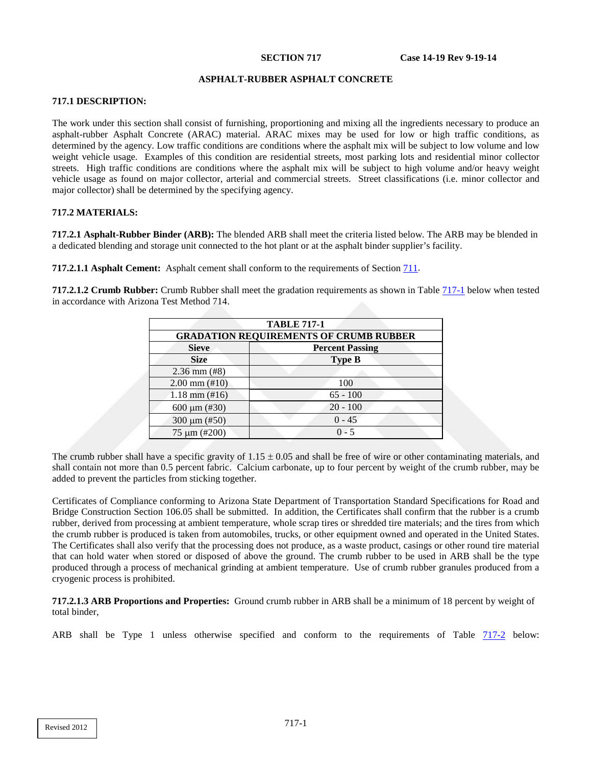### **ASPHALT-RUBBER ASPHALT CONCRETE**

## **717.1 DESCRIPTION:**

The work under this section shall consist of furnishing, proportioning and mixing all the ingredients necessary to produce an asphalt-rubber Asphalt Concrete (ARAC) material. ARAC mixes may be used for low or high traffic conditions, as determined by the agency. Low traffic conditions are conditions where the asphalt mix will be subject to low volume and low weight vehicle usage. Examples of this condition are residential streets, most parking lots and residential minor collector streets. High traffic conditions are conditions where the asphalt mix will be subject to high volume and/or heavy weight vehicle usage as found on major collector, arterial and commercial streets. Street classifications (i.e. minor collector and major collector) shall be determined by the specifying agency.

## **717.2 MATERIALS:**

**717.2.1 Asphalt-Rubber Binder (ARB):** The blended ARB shall meet the criteria listed below. The ARB may be blended in a dedicated blending and storage unit connected to the hot plant or at the asphalt binder supplier's facility.

**717.2.1.1 Asphalt Cement:** Asphalt cement shall conform to the requirements of Section 711.

**717.2.1.2 Crumb Rubber:** Crumb Rubber shall meet the gradation requirements as shown in Tabl[e 717-1](#page-28-0) below when tested in accordance with Arizona Test Method 714.

<span id="page-28-0"></span>

| <b>TABLE 717-1</b><br><b>GRADATION REQUIREMENTS OF CRUMB RUBBER</b> |               |  |
|---------------------------------------------------------------------|---------------|--|
|                                                                     |               |  |
| <b>Size</b>                                                         | <b>Type B</b> |  |
| $2.36$ mm $(#8)$                                                    |               |  |
| $2.00 \text{ mm} (\text{\#}10)$                                     | 100           |  |
| $1.18$ mm $(\text{\#}16)$                                           | $65 - 100$    |  |
| 600 $\mu$ m (#30)                                                   | $20 - 100$    |  |
| 300 $\mu$ m (#50)                                                   | $0 - 45$      |  |
| 75 µm (#200)                                                        | $0 - 5$       |  |

The crumb rubber shall have a specific gravity of  $1.15 \pm 0.05$  and shall be free of wire or other contaminating materials, and shall contain not more than 0.5 percent fabric. Calcium carbonate, up to four percent by weight of the crumb rubber, may be added to prevent the particles from sticking together.

Certificates of Compliance conforming to Arizona State Department of Transportation Standard Specifications for Road and Bridge Construction Section 106.05 shall be submitted. In addition, the Certificates shall confirm that the rubber is a crumb rubber, derived from processing at ambient temperature, whole scrap tires or shredded tire materials; and the tires from which the crumb rubber is produced is taken from automobiles, trucks, or other equipment owned and operated in the United States. The Certificates shall also verify that the processing does not produce, as a waste product, casings or other round tire material that can hold water when stored or disposed of above the ground. The crumb rubber to be used in ARB shall be the type produced through a process of mechanical grinding at ambient temperature. Use of crumb rubber granules produced from a cryogenic process is prohibited.

**717.2.1.3 ARB Proportions and Properties:** Ground crumb rubber in ARB shall be a minimum of 18 percent by weight of total binder,

ARB shall be Type 1 unless otherwise specified and conform to the requirements of Table 717-2 below: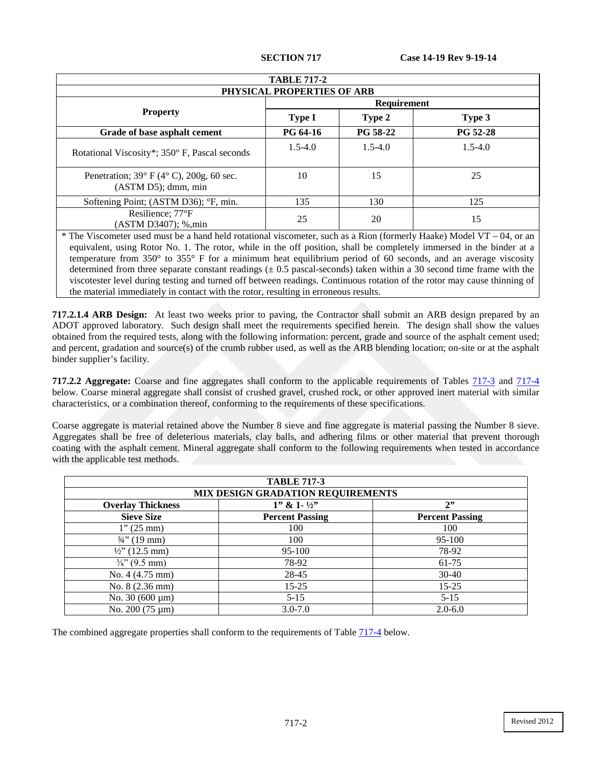| <b>TABLE 717-2</b>                                                                                        |                    |                 |                           |
|-----------------------------------------------------------------------------------------------------------|--------------------|-----------------|---------------------------|
| PHYSICAL PROPERTIES OF ARB                                                                                |                    |                 |                           |
|                                                                                                           | <b>Requirement</b> |                 |                           |
| <b>Property</b>                                                                                           | <b>Type I</b>      | Type 2          | Type 3                    |
| Grade of base asphalt cement                                                                              | <b>PG 64-16</b>    | <b>PG 58-22</b> | <b>PG 52-28</b>           |
| Rotational Viscosity*; 350° F, Pascal seconds                                                             | $1.5 - 4.0$        | $1.5 - 4.0$     | $1.5 - 4.0$               |
| Penetration; $39^{\circ}$ F ( $4^{\circ}$ C), $200g$ , 60 sec.<br>$(ASTM D5);$ dmm, min                   | 10                 | 15              | 25                        |
| Softening Point; (ASTM D36); °F, min.                                                                     | 135                | 130             | 125                       |
| Resilience; 77°F<br>(ASTM D3407); %,min                                                                   | 25                 | 20              | 15                        |
| * The Viscometer used must be a hand held rotational viscometer, such as a Rion (formerly Haake) Model VT |                    |                 | $\Omega$<br>$\alpha$ r an |

The Viscometer used must be a hand held rotational viscometer, such as a Rion (formerly Haake) Model VT – 04, or an equivalent, using Rotor No. 1. The rotor, while in the off position, shall be completely immersed in the binder at a temperature from 350° to 355° F for a minimum heat equilibrium period of 60 seconds, and an average viscosity determined from three separate constant readings  $(\pm 0.5$  pascal-seconds) taken within a 30 second time frame with the viscotester level during testing and turned off between readings. Continuous rotation of the rotor may cause thinning of the material immediately in contact with the rotor, resulting in erroneous results.

**717.2.1.4 ARB Design:** At least two weeks prior to paving, the Contractor shall submit an ARB design prepared by an ADOT approved laboratory. Such design shall meet the requirements specified herein. The design shall show the values obtained from the required tests, along with the following information: percent, grade and source of the asphalt cement used; and percent, gradation and source(s) of the crumb rubber used, as well as the ARB blending location; on-site or at the asphalt binder supplier's facility.

**717.2.2 Aggregate:** Coarse and fine aggregates shall conform to the applicable requirements of Tables [717-3](#page-29-0) and [717-4](#page-30-0) below. Coarse mineral aggregate shall consist of crushed gravel, crushed rock, or other approved inert material with similar characteristics, or a combination thereof, conforming to the requirements of these specifications.

Coarse aggregate is material retained above the Number 8 sieve and fine aggregate is material passing the Number 8 sieve. Aggregates shall be free of deleterious materials, clay balls, and adhering films or other material that prevent thorough coating with the asphalt cement. Mineral aggregate shall conform to the following requirements when tested in accordance with the applicable test methods.

<span id="page-29-0"></span>

| <b>TABLE 717-3</b>                |                           |                        |
|-----------------------------------|---------------------------|------------------------|
| MIX DESIGN GRADATION REQUIREMENTS |                           |                        |
| <b>Overlay Thickness</b>          | $1''$ & $1 - \frac{1}{2}$ | 2"                     |
| <b>Sieve Size</b>                 | <b>Percent Passing</b>    | <b>Percent Passing</b> |
| $1''(25 \text{ mm})$              | 100                       | 100                    |
| $\frac{3}{4}$ " (19 mm)           | 100                       | 95-100                 |
| $\frac{1}{2}$ (12.5 mm)           | 95-100                    | 78-92                  |
| $\frac{3}{8}$ " (9.5 mm)          | 78-92                     | 61-75                  |
| No. 4 (4.75 mm)                   | 28-45                     | $30-40$                |
| No. 8 (2.36 mm)                   | $15 - 25$                 | $15 - 25$              |
| No. $30(600 \,\mathrm{\upmu m})$  | $5 - 15$                  | $5 - 15$               |
| No. $200(75 \,\mathrm{\upmu m})$  | $3.0 - 7.0$               | $2.0 - 6.0$            |

The combined aggregate properties shall conform to the requirements of Table  $717-4$  below.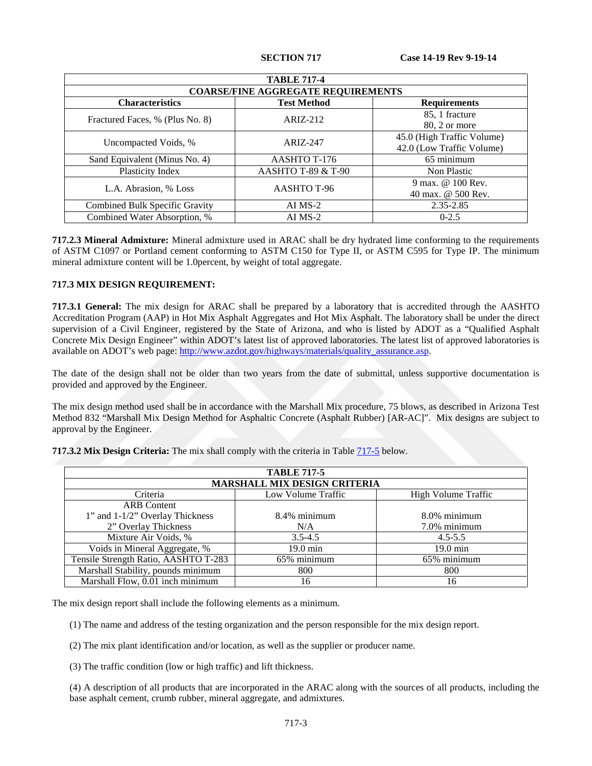<span id="page-30-0"></span>

| <b>TABLE 717-4</b>                        |                    |                                                         |  |
|-------------------------------------------|--------------------|---------------------------------------------------------|--|
| <b>COARSE/FINE AGGREGATE REQUIREMENTS</b> |                    |                                                         |  |
| <b>Characteristics</b>                    | <b>Test Method</b> | <b>Requirements</b>                                     |  |
| Fractured Faces, % (Plus No. 8)           | $ARIZ-212$         | 85, 1 fracture<br>80, 2 or more                         |  |
| Uncompacted Voids, %                      | ARIZ-247           | 45.0 (High Traffic Volume)<br>42.0 (Low Traffic Volume) |  |
| Sand Equivalent (Minus No. 4)             | AASHTO T-176       | 65 minimum                                              |  |
| Plasticity Index                          | AASHTO T-89 & T-90 | Non Plastic                                             |  |
| L.A. Abrasion, % Loss                     | AASHTO T-96        | 9 max. @ 100 Rev.<br>40 max. @ 500 Rev.                 |  |
| Combined Bulk Specific Gravity            | $AI$ MS-2          | 2.35-2.85                                               |  |
| Combined Water Absorption, %              | $AI$ MS-2          | $0 - 2.5$                                               |  |

**717.2.3 Mineral Admixture:** Mineral admixture used in ARAC shall be dry hydrated lime conforming to the requirements of ASTM C1097 or Portland cement conforming to ASTM C150 for Type II, or ASTM C595 for Type IP. The minimum mineral admixture content will be 1.0percent, by weight of total aggregate.

## **717.3 MIX DESIGN REQUIREMENT:**

**717.3.1 General:** The mix design for ARAC shall be prepared by a laboratory that is accredited through the AASHTO Accreditation Program (AAP) in Hot Mix Asphalt Aggregates and Hot Mix Asphalt. The laboratory shall be under the direct supervision of a Civil Engineer, registered by the State of Arizona, and who is listed by ADOT as a "Qualified Asphalt Concrete Mix Design Engineer" within ADOT's latest list of approved laboratories. The latest list of approved laboratories is available on ADOT's web page: [http://www.azdot.gov/highways/materials/quality\\_assurance.asp.](http://www.azdot.gov/highways/materials/quality_assurance.asp)

The date of the design shall not be older than two years from the date of submittal, unless supportive documentation is provided and approved by the Engineer.

The mix design method used shall be in accordance with the Marshall Mix procedure, 75 blows, as described in Arizona Test Method 832 "Marshall Mix Design Method for Asphaltic Concrete (Asphalt Rubber) [AR-AC]". Mix designs are subject to approval by the Engineer.

<span id="page-30-1"></span>

| <b>TABLE 717-5</b>                   |                    |                            |  |
|--------------------------------------|--------------------|----------------------------|--|
| <b>MARSHALL MIX DESIGN CRITERIA</b>  |                    |                            |  |
| Criteria                             | Low Volume Traffic | <b>High Volume Traffic</b> |  |
| <b>ARB</b> Content                   |                    |                            |  |
| 1" and 1-1/2" Overlay Thickness      | 8.4% minimum       | 8.0% minimum               |  |
| 2" Overlay Thickness                 | N/A                | 7.0% minimum               |  |
| Mixture Air Voids, %                 | $3.5 - 4.5$        | $4.5 - 5.5$                |  |
| Voids in Mineral Aggregate, %        | 19.0 min           | $19.0 \text{ min}$         |  |
| Tensile Strength Ratio, AASHTO T-283 | 65% minimum        | 65% minimum                |  |
| Marshall Stability, pounds minimum   | 800                | 800                        |  |
| Marshall Flow, 0.01 inch minimum     | 16                 | 16                         |  |

**717.3.2 Mix Design Criteria:** The mix shall comply with the criteria in Table [717-5](#page-30-1) below.

The mix design report shall include the following elements as a minimum.

(1) The name and address of the testing organization and the person responsible for the mix design report.

- (2) The mix plant identification and/or location, as well as the supplier or producer name.
- (3) The traffic condition (low or high traffic) and lift thickness.

(4) A description of all products that are incorporated in the ARAC along with the sources of all products, including the base asphalt cement, crumb rubber, mineral aggregate, and admixtures.